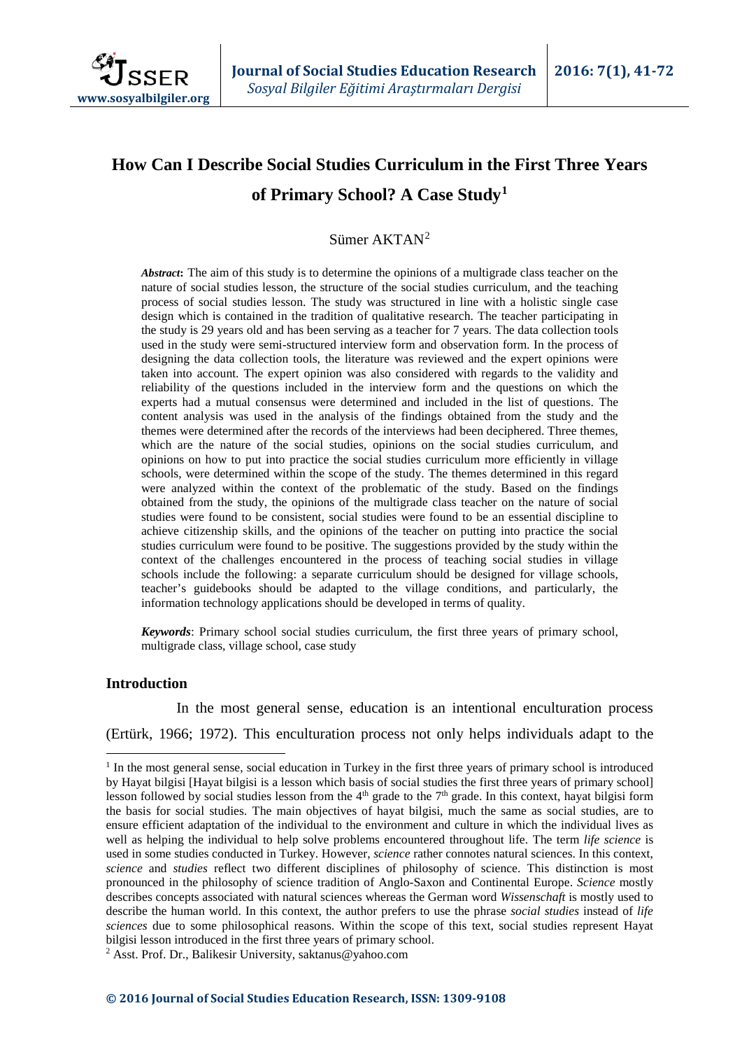

# **How Can I Describe Social Studies Curriculum in the First Three Years of Primary School? A Case Study[1](#page-0-0)**

# Sümer AKTAN[2](#page-0-1)

*Abstract***:** The aim of this study is to determine the opinions of a multigrade class teacher on the nature of social studies lesson, the structure of the social studies curriculum, and the teaching process of social studies lesson. The study was structured in line with a holistic single case design which is contained in the tradition of qualitative research. The teacher participating in the study is 29 years old and has been serving as a teacher for 7 years. The data collection tools used in the study were semi-structured interview form and observation form. In the process of designing the data collection tools, the literature was reviewed and the expert opinions were taken into account. The expert opinion was also considered with regards to the validity and reliability of the questions included in the interview form and the questions on which the experts had a mutual consensus were determined and included in the list of questions. The content analysis was used in the analysis of the findings obtained from the study and the themes were determined after the records of the interviews had been deciphered. Three themes, which are the nature of the social studies, opinions on the social studies curriculum, and opinions on how to put into practice the social studies curriculum more efficiently in village schools, were determined within the scope of the study. The themes determined in this regard were analyzed within the context of the problematic of the study. Based on the findings obtained from the study, the opinions of the multigrade class teacher on the nature of social studies were found to be consistent, social studies were found to be an essential discipline to achieve citizenship skills, and the opinions of the teacher on putting into practice the social studies curriculum were found to be positive. The suggestions provided by the study within the context of the challenges encountered in the process of teaching social studies in village schools include the following: a separate curriculum should be designed for village schools, teacher's guidebooks should be adapted to the village conditions, and particularly, the information technology applications should be developed in terms of quality.

*Keywords*: Primary school social studies curriculum, the first three years of primary school, multigrade class, village school, case study

#### **Introduction**

In the most general sense, education is an intentional enculturation process (Ertürk, 1966; 1972). This enculturation process not only helps individuals adapt to the

<span id="page-0-1"></span><span id="page-0-0"></span><sup>&</sup>lt;sup>1</sup> In the most general sense, social education in Turkey in the first three years of primary school is introduced by Hayat bilgisi [Hayat bilgisi is a lesson which basis of social studies the first three years of primary school] lesson followed by social studies lesson from the  $4<sup>th</sup>$  grade to the  $7<sup>th</sup>$  grade. In this context, hayat bilgisi form the basis for social studies. The main objectives of hayat bilgisi, much the same as social studies, are to ensure efficient adaptation of the individual to the environment and culture in which the individual lives as well as helping the individual to help solve problems encountered throughout life. The term *life science* is used in some studies conducted in Turkey. However, *science* rather connotes natural sciences. In this context, *science* and *studies* reflect two different disciplines of philosophy of science. This distinction is most pronounced in the philosophy of science tradition of Anglo-Saxon and Continental Europe. *Science* mostly describes concepts associated with natural sciences whereas the German word *Wissenschaft* is mostly used to describe the human world. In this context, the author prefers to use the phrase *social studies* instead of *life sciences* due to some philosophical reasons. Within the scope of this text, social studies represent Hayat bilgisi lesson introduced in the first three years of primary school.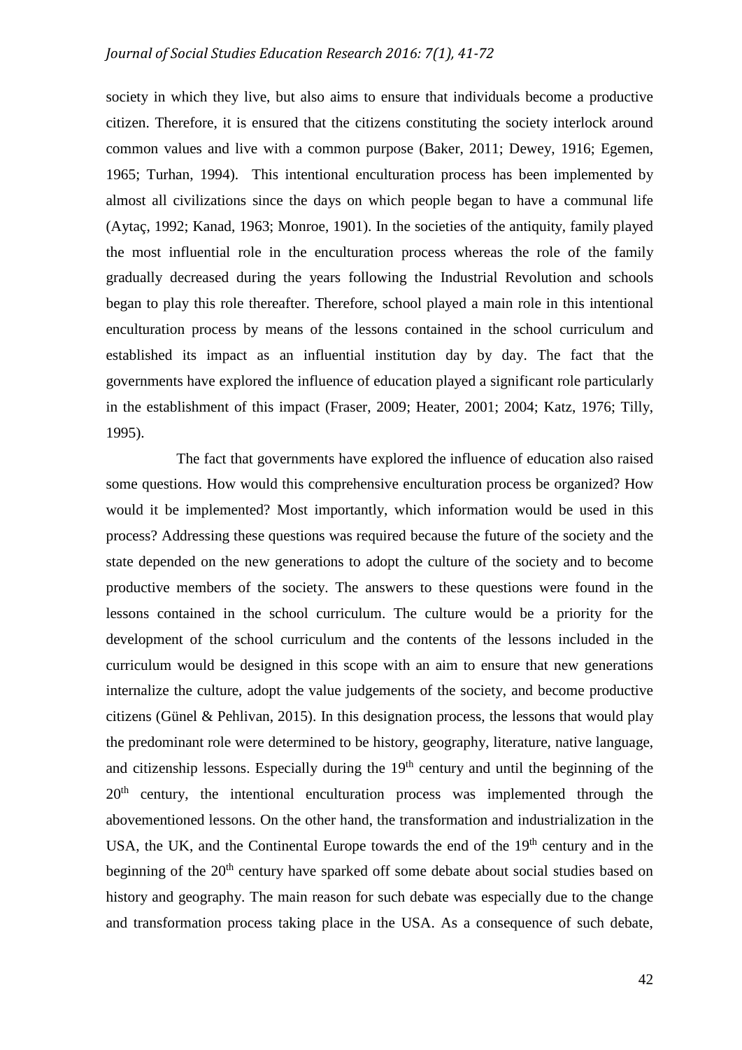society in which they live, but also aims to ensure that individuals become a productive citizen. Therefore, it is ensured that the citizens constituting the society interlock around common values and live with a common purpose (Baker, 2011; Dewey, 1916; Egemen, 1965; Turhan, 1994). This intentional enculturation process has been implemented by almost all civilizations since the days on which people began to have a communal life (Aytaç, 1992; Kanad, 1963; Monroe, 1901). In the societies of the antiquity, family played the most influential role in the enculturation process whereas the role of the family gradually decreased during the years following the Industrial Revolution and schools began to play this role thereafter. Therefore, school played a main role in this intentional enculturation process by means of the lessons contained in the school curriculum and established its impact as an influential institution day by day. The fact that the governments have explored the influence of education played a significant role particularly in the establishment of this impact (Fraser, 2009; Heater, 2001; 2004; Katz, 1976; Tilly, 1995).

The fact that governments have explored the influence of education also raised some questions. How would this comprehensive enculturation process be organized? How would it be implemented? Most importantly, which information would be used in this process? Addressing these questions was required because the future of the society and the state depended on the new generations to adopt the culture of the society and to become productive members of the society. The answers to these questions were found in the lessons contained in the school curriculum. The culture would be a priority for the development of the school curriculum and the contents of the lessons included in the curriculum would be designed in this scope with an aim to ensure that new generations internalize the culture, adopt the value judgements of the society, and become productive citizens (Günel & Pehlivan, 2015). In this designation process, the lessons that would play the predominant role were determined to be history, geography, literature, native language, and citizenship lessons. Especially during the  $19<sup>th</sup>$  century and until the beginning of the 20<sup>th</sup> century, the intentional enculturation process was implemented through the abovementioned lessons. On the other hand, the transformation and industrialization in the USA, the UK, and the Continental Europe towards the end of the  $19<sup>th</sup>$  century and in the beginning of the 20<sup>th</sup> century have sparked off some debate about social studies based on history and geography. The main reason for such debate was especially due to the change and transformation process taking place in the USA. As a consequence of such debate,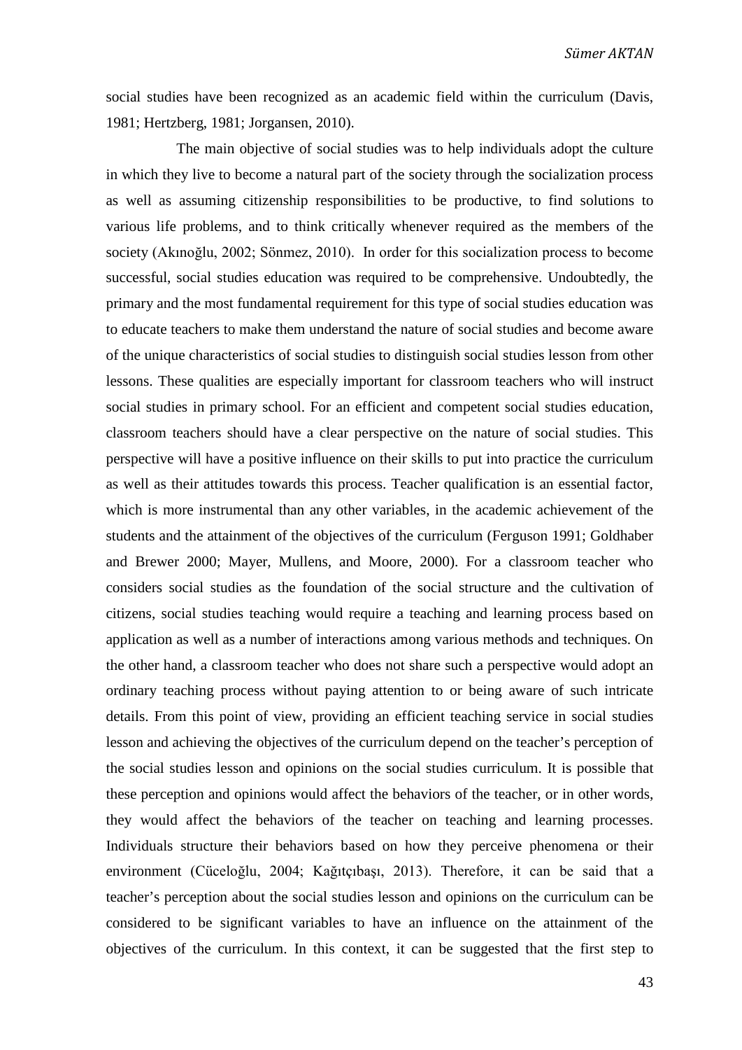social studies have been recognized as an academic field within the curriculum (Davis, 1981; Hertzberg, 1981; Jorgansen, 2010).

The main objective of social studies was to help individuals adopt the culture in which they live to become a natural part of the society through the socialization process as well as assuming citizenship responsibilities to be productive, to find solutions to various life problems, and to think critically whenever required as the members of the society (Akınoğlu, 2002; Sönmez, 2010). In order for this socialization process to become successful, social studies education was required to be comprehensive. Undoubtedly, the primary and the most fundamental requirement for this type of social studies education was to educate teachers to make them understand the nature of social studies and become aware of the unique characteristics of social studies to distinguish social studies lesson from other lessons. These qualities are especially important for classroom teachers who will instruct social studies in primary school. For an efficient and competent social studies education, classroom teachers should have a clear perspective on the nature of social studies. This perspective will have a positive influence on their skills to put into practice the curriculum as well as their attitudes towards this process. Teacher qualification is an essential factor, which is more instrumental than any other variables, in the academic achievement of the students and the attainment of the objectives of the curriculum (Ferguson 1991; Goldhaber and Brewer 2000; Mayer, Mullens, and Moore, 2000). For a classroom teacher who considers social studies as the foundation of the social structure and the cultivation of citizens, social studies teaching would require a teaching and learning process based on application as well as a number of interactions among various methods and techniques. On the other hand, a classroom teacher who does not share such a perspective would adopt an ordinary teaching process without paying attention to or being aware of such intricate details. From this point of view, providing an efficient teaching service in social studies lesson and achieving the objectives of the curriculum depend on the teacher's perception of the social studies lesson and opinions on the social studies curriculum. It is possible that these perception and opinions would affect the behaviors of the teacher, or in other words, they would affect the behaviors of the teacher on teaching and learning processes. Individuals structure their behaviors based on how they perceive phenomena or their environment (Cüceloğlu, 2004; Kağıtçıbaşı, 2013). Therefore, it can be said that a teacher's perception about the social studies lesson and opinions on the curriculum can be considered to be significant variables to have an influence on the attainment of the objectives of the curriculum. In this context, it can be suggested that the first step to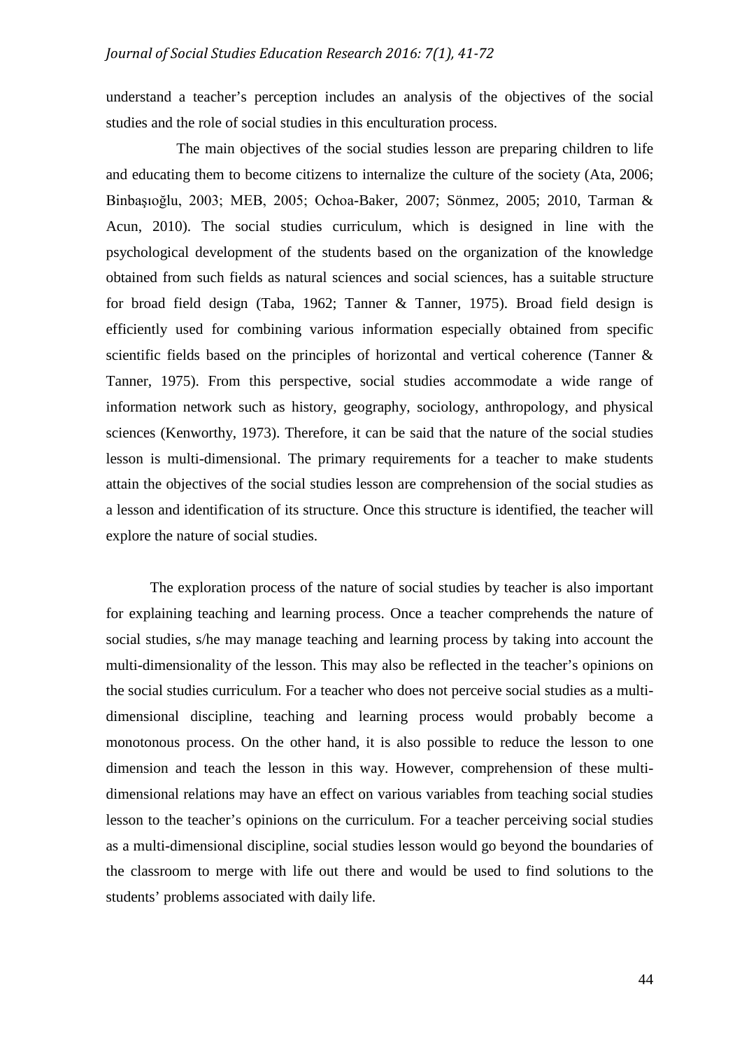understand a teacher's perception includes an analysis of the objectives of the social studies and the role of social studies in this enculturation process.

The main objectives of the social studies lesson are preparing children to life and educating them to become citizens to internalize the culture of the society (Ata, 2006; Binbaşıoğlu, 2003; MEB, 2005; Ochoa-Baker, 2007; Sönmez, 2005; 2010, Tarman & Acun, 2010). The social studies curriculum, which is designed in line with the psychological development of the students based on the organization of the knowledge obtained from such fields as natural sciences and social sciences, has a suitable structure for broad field design (Taba, 1962; Tanner & Tanner, 1975). Broad field design is efficiently used for combining various information especially obtained from specific scientific fields based on the principles of horizontal and vertical coherence (Tanner & Tanner, 1975). From this perspective, social studies accommodate a wide range of information network such as history, geography, sociology, anthropology, and physical sciences (Kenworthy, 1973). Therefore, it can be said that the nature of the social studies lesson is multi-dimensional. The primary requirements for a teacher to make students attain the objectives of the social studies lesson are comprehension of the social studies as a lesson and identification of its structure. Once this structure is identified, the teacher will explore the nature of social studies.

The exploration process of the nature of social studies by teacher is also important for explaining teaching and learning process. Once a teacher comprehends the nature of social studies, s/he may manage teaching and learning process by taking into account the multi-dimensionality of the lesson. This may also be reflected in the teacher's opinions on the social studies curriculum. For a teacher who does not perceive social studies as a multidimensional discipline, teaching and learning process would probably become a monotonous process. On the other hand, it is also possible to reduce the lesson to one dimension and teach the lesson in this way. However, comprehension of these multidimensional relations may have an effect on various variables from teaching social studies lesson to the teacher's opinions on the curriculum. For a teacher perceiving social studies as a multi-dimensional discipline, social studies lesson would go beyond the boundaries of the classroom to merge with life out there and would be used to find solutions to the students' problems associated with daily life.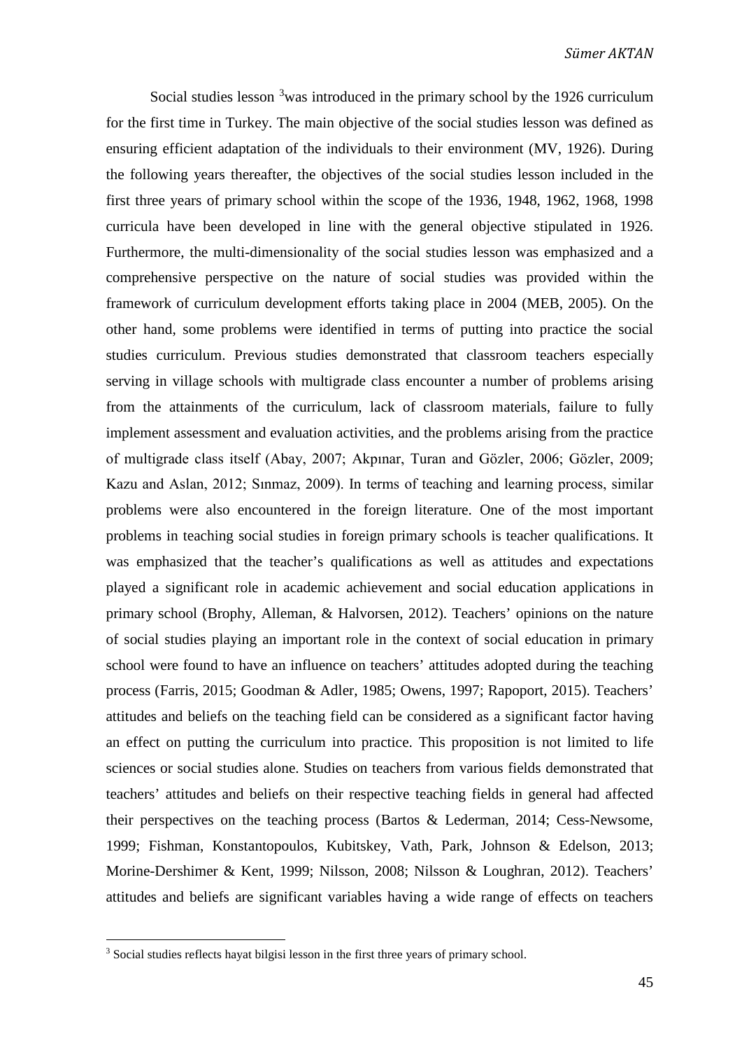Social studies lesson  $3$  was introduced in the primary school by the 1926 curriculum for the first time in Turkey. The main objective of the social studies lesson was defined as ensuring efficient adaptation of the individuals to their environment (MV, 1926). During the following years thereafter, the objectives of the social studies lesson included in the first three years of primary school within the scope of the 1936, 1948, 1962, 1968, 1998 curricula have been developed in line with the general objective stipulated in 1926. Furthermore, the multi-dimensionality of the social studies lesson was emphasized and a comprehensive perspective on the nature of social studies was provided within the framework of curriculum development efforts taking place in 2004 (MEB, 2005). On the other hand, some problems were identified in terms of putting into practice the social studies curriculum. Previous studies demonstrated that classroom teachers especially serving in village schools with multigrade class encounter a number of problems arising from the attainments of the curriculum, lack of classroom materials, failure to fully implement assessment and evaluation activities, and the problems arising from the practice of multigrade class itself (Abay, 2007; Akpınar, Turan and Gözler, 2006; Gözler, 2009; Kazu and Aslan, 2012; Sınmaz, 2009). In terms of teaching and learning process, similar problems were also encountered in the foreign literature. One of the most important problems in teaching social studies in foreign primary schools is teacher qualifications. It was emphasized that the teacher's qualifications as well as attitudes and expectations played a significant role in academic achievement and social education applications in primary school (Brophy, Alleman, & Halvorsen, 2012). Teachers' opinions on the nature of social studies playing an important role in the context of social education in primary school were found to have an influence on teachers' attitudes adopted during the teaching process (Farris, 2015; Goodman & Adler, 1985; Owens, 1997; Rapoport, 2015). Teachers' attitudes and beliefs on the teaching field can be considered as a significant factor having an effect on putting the curriculum into practice. This proposition is not limited to life sciences or social studies alone. Studies on teachers from various fields demonstrated that teachers' attitudes and beliefs on their respective teaching fields in general had affected their perspectives on the teaching process (Bartos & Lederman, 2014; Cess-Newsome, 1999; Fishman, Konstantopoulos, Kubitskey, Vath, Park, Johnson & Edelson, 2013; Morine-Dershimer & Kent, 1999; Nilsson, 2008; Nilsson & Loughran, 2012). Teachers' attitudes and beliefs are significant variables having a wide range of effects on teachers

<span id="page-4-0"></span><sup>&</sup>lt;sup>3</sup> Social studies reflects hayat bilgisi lesson in the first three years of primary school.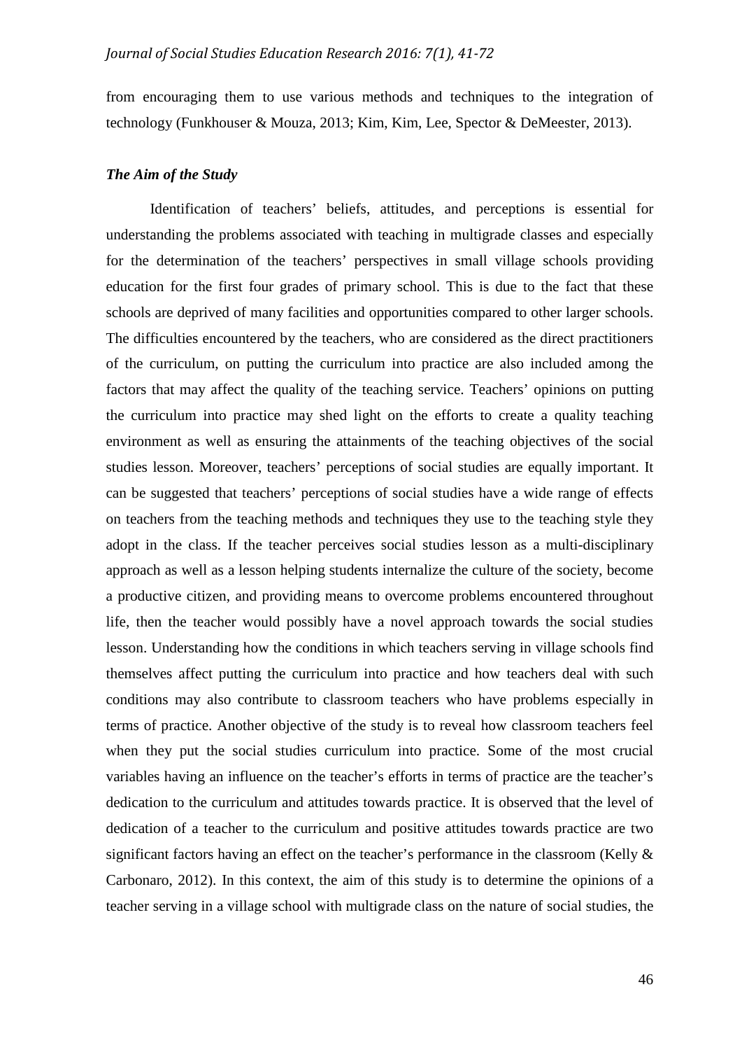from encouraging them to use various methods and techniques to the integration of technology (Funkhouser & Mouza, 2013; Kim, Kim, Lee, Spector & DeMeester, 2013).

## *The Aim of the Study*

Identification of teachers' beliefs, attitudes, and perceptions is essential for understanding the problems associated with teaching in multigrade classes and especially for the determination of the teachers' perspectives in small village schools providing education for the first four grades of primary school. This is due to the fact that these schools are deprived of many facilities and opportunities compared to other larger schools. The difficulties encountered by the teachers, who are considered as the direct practitioners of the curriculum, on putting the curriculum into practice are also included among the factors that may affect the quality of the teaching service. Teachers' opinions on putting the curriculum into practice may shed light on the efforts to create a quality teaching environment as well as ensuring the attainments of the teaching objectives of the social studies lesson. Moreover, teachers' perceptions of social studies are equally important. It can be suggested that teachers' perceptions of social studies have a wide range of effects on teachers from the teaching methods and techniques they use to the teaching style they adopt in the class. If the teacher perceives social studies lesson as a multi-disciplinary approach as well as a lesson helping students internalize the culture of the society, become a productive citizen, and providing means to overcome problems encountered throughout life, then the teacher would possibly have a novel approach towards the social studies lesson. Understanding how the conditions in which teachers serving in village schools find themselves affect putting the curriculum into practice and how teachers deal with such conditions may also contribute to classroom teachers who have problems especially in terms of practice. Another objective of the study is to reveal how classroom teachers feel when they put the social studies curriculum into practice. Some of the most crucial variables having an influence on the teacher's efforts in terms of practice are the teacher's dedication to the curriculum and attitudes towards practice. It is observed that the level of dedication of a teacher to the curriculum and positive attitudes towards practice are two significant factors having an effect on the teacher's performance in the classroom (Kelly & Carbonaro, 2012). In this context, the aim of this study is to determine the opinions of a teacher serving in a village school with multigrade class on the nature of social studies, the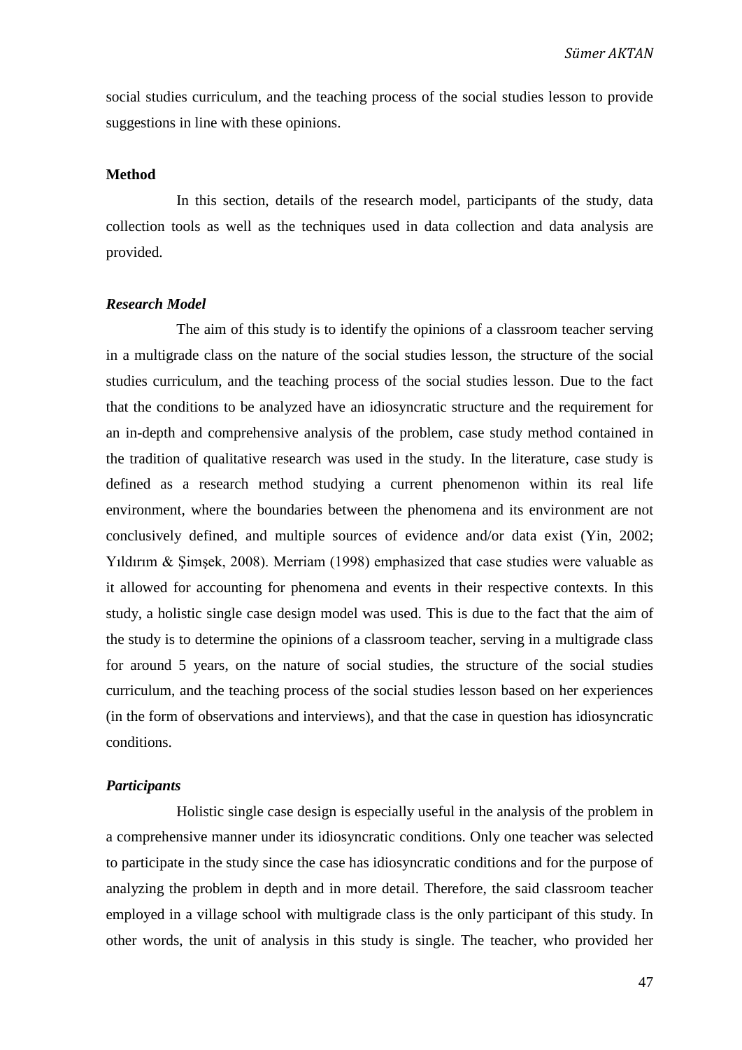social studies curriculum, and the teaching process of the social studies lesson to provide suggestions in line with these opinions.

#### **Method**

In this section, details of the research model, participants of the study, data collection tools as well as the techniques used in data collection and data analysis are provided.

#### *Research Model*

The aim of this study is to identify the opinions of a classroom teacher serving in a multigrade class on the nature of the social studies lesson, the structure of the social studies curriculum, and the teaching process of the social studies lesson. Due to the fact that the conditions to be analyzed have an idiosyncratic structure and the requirement for an in-depth and comprehensive analysis of the problem, case study method contained in the tradition of qualitative research was used in the study. In the literature, case study is defined as a research method studying a current phenomenon within its real life environment, where the boundaries between the phenomena and its environment are not conclusively defined, and multiple sources of evidence and/or data exist (Yin, 2002; Yıldırım & Şimşek, 2008). Merriam (1998) emphasized that case studies were valuable as it allowed for accounting for phenomena and events in their respective contexts. In this study, a holistic single case design model was used. This is due to the fact that the aim of the study is to determine the opinions of a classroom teacher, serving in a multigrade class for around 5 years, on the nature of social studies, the structure of the social studies curriculum, and the teaching process of the social studies lesson based on her experiences (in the form of observations and interviews), and that the case in question has idiosyncratic conditions.

# *Participants*

Holistic single case design is especially useful in the analysis of the problem in a comprehensive manner under its idiosyncratic conditions. Only one teacher was selected to participate in the study since the case has idiosyncratic conditions and for the purpose of analyzing the problem in depth and in more detail. Therefore, the said classroom teacher employed in a village school with multigrade class is the only participant of this study. In other words, the unit of analysis in this study is single. The teacher, who provided her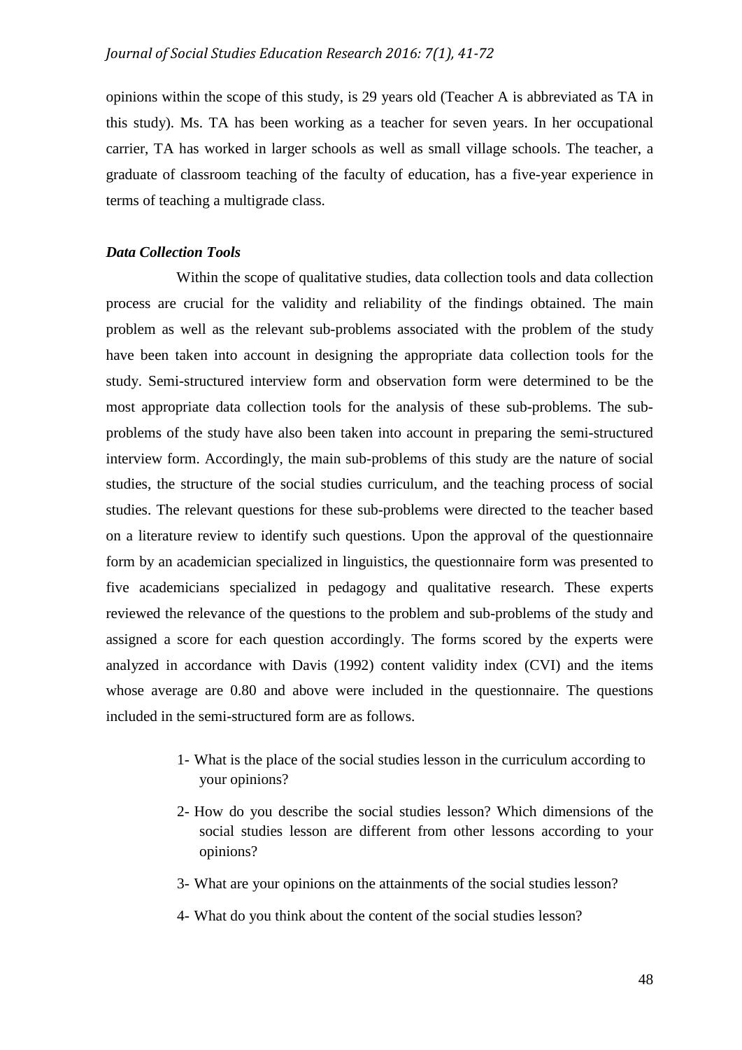opinions within the scope of this study, is 29 years old (Teacher A is abbreviated as TA in this study). Ms. TA has been working as a teacher for seven years. In her occupational carrier, TA has worked in larger schools as well as small village schools. The teacher, a graduate of classroom teaching of the faculty of education, has a five-year experience in terms of teaching a multigrade class.

## *Data Collection Tools*

Within the scope of qualitative studies, data collection tools and data collection process are crucial for the validity and reliability of the findings obtained. The main problem as well as the relevant sub-problems associated with the problem of the study have been taken into account in designing the appropriate data collection tools for the study. Semi-structured interview form and observation form were determined to be the most appropriate data collection tools for the analysis of these sub-problems. The subproblems of the study have also been taken into account in preparing the semi-structured interview form. Accordingly, the main sub-problems of this study are the nature of social studies, the structure of the social studies curriculum, and the teaching process of social studies. The relevant questions for these sub-problems were directed to the teacher based on a literature review to identify such questions. Upon the approval of the questionnaire form by an academician specialized in linguistics, the questionnaire form was presented to five academicians specialized in pedagogy and qualitative research. These experts reviewed the relevance of the questions to the problem and sub-problems of the study and assigned a score for each question accordingly. The forms scored by the experts were analyzed in accordance with Davis (1992) content validity index (CVI) and the items whose average are 0.80 and above were included in the questionnaire. The questions included in the semi-structured form are as follows.

- 1- What is the place of the social studies lesson in the curriculum according to your opinions?
- 2- How do you describe the social studies lesson? Which dimensions of the social studies lesson are different from other lessons according to your opinions?
- 3- What are your opinions on the attainments of the social studies lesson?
- 4- What do you think about the content of the social studies lesson?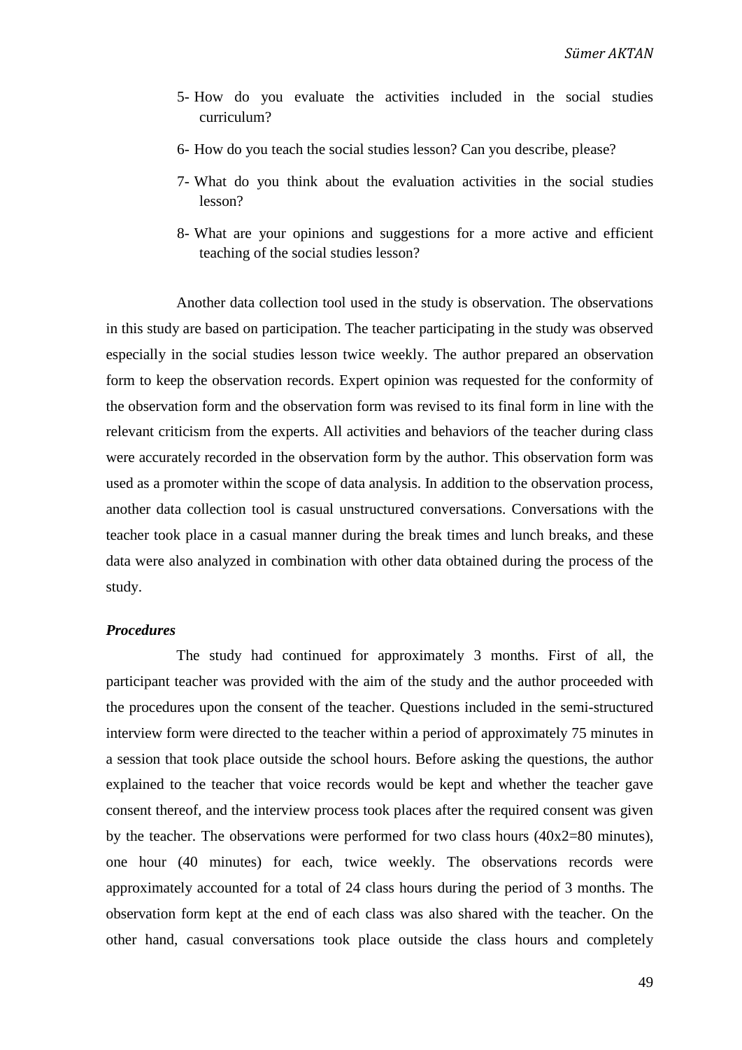- 5- How do you evaluate the activities included in the social studies curriculum?
- 6- How do you teach the social studies lesson? Can you describe, please?
- 7- What do you think about the evaluation activities in the social studies lesson?
- 8- What are your opinions and suggestions for a more active and efficient teaching of the social studies lesson?

Another data collection tool used in the study is observation. The observations in this study are based on participation. The teacher participating in the study was observed especially in the social studies lesson twice weekly. The author prepared an observation form to keep the observation records. Expert opinion was requested for the conformity of the observation form and the observation form was revised to its final form in line with the relevant criticism from the experts. All activities and behaviors of the teacher during class were accurately recorded in the observation form by the author. This observation form was used as a promoter within the scope of data analysis. In addition to the observation process, another data collection tool is casual unstructured conversations. Conversations with the teacher took place in a casual manner during the break times and lunch breaks, and these data were also analyzed in combination with other data obtained during the process of the study.

## *Procedures*

The study had continued for approximately 3 months. First of all, the participant teacher was provided with the aim of the study and the author proceeded with the procedures upon the consent of the teacher. Questions included in the semi-structured interview form were directed to the teacher within a period of approximately 75 minutes in a session that took place outside the school hours. Before asking the questions, the author explained to the teacher that voice records would be kept and whether the teacher gave consent thereof, and the interview process took places after the required consent was given by the teacher. The observations were performed for two class hours (40x2=80 minutes), one hour (40 minutes) for each, twice weekly. The observations records were approximately accounted for a total of 24 class hours during the period of 3 months. The observation form kept at the end of each class was also shared with the teacher. On the other hand, casual conversations took place outside the class hours and completely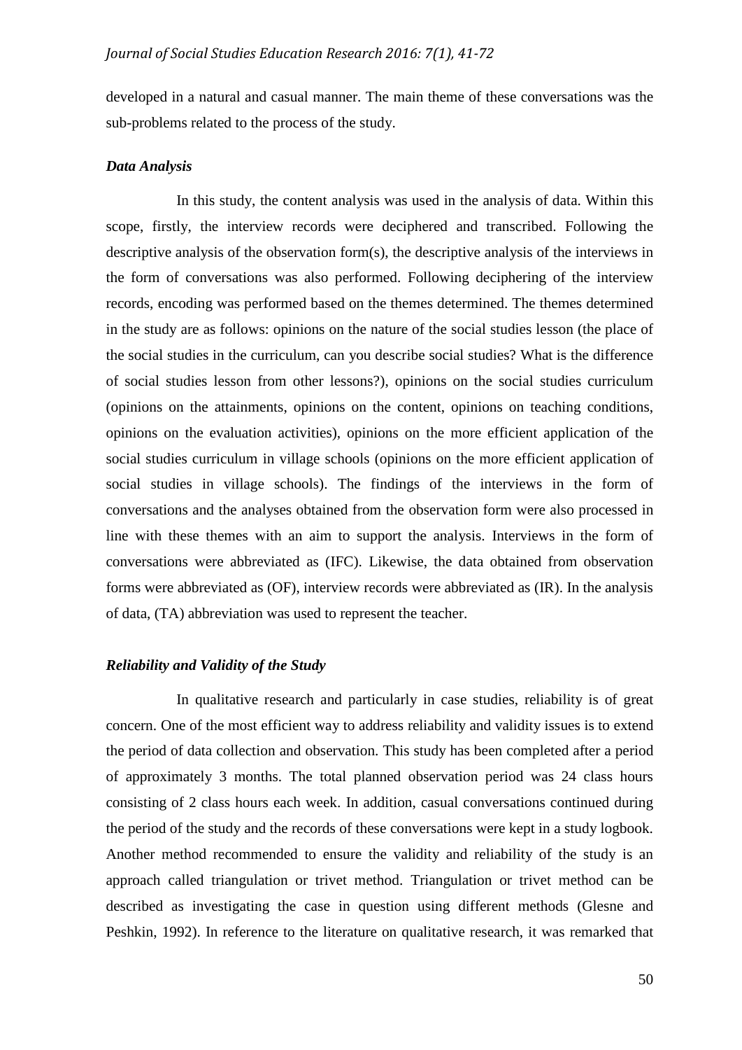developed in a natural and casual manner. The main theme of these conversations was the sub-problems related to the process of the study.

## *Data Analysis*

In this study, the content analysis was used in the analysis of data. Within this scope, firstly, the interview records were deciphered and transcribed. Following the descriptive analysis of the observation form(s), the descriptive analysis of the interviews in the form of conversations was also performed. Following deciphering of the interview records, encoding was performed based on the themes determined. The themes determined in the study are as follows: opinions on the nature of the social studies lesson (the place of the social studies in the curriculum, can you describe social studies? What is the difference of social studies lesson from other lessons?), opinions on the social studies curriculum (opinions on the attainments, opinions on the content, opinions on teaching conditions, opinions on the evaluation activities), opinions on the more efficient application of the social studies curriculum in village schools (opinions on the more efficient application of social studies in village schools). The findings of the interviews in the form of conversations and the analyses obtained from the observation form were also processed in line with these themes with an aim to support the analysis. Interviews in the form of conversations were abbreviated as (IFC). Likewise, the data obtained from observation forms were abbreviated as (OF), interview records were abbreviated as (IR). In the analysis of data, (TA) abbreviation was used to represent the teacher.

# *Reliability and Validity of the Study*

In qualitative research and particularly in case studies, reliability is of great concern. One of the most efficient way to address reliability and validity issues is to extend the period of data collection and observation. This study has been completed after a period of approximately 3 months. The total planned observation period was 24 class hours consisting of 2 class hours each week. In addition, casual conversations continued during the period of the study and the records of these conversations were kept in a study logbook. Another method recommended to ensure the validity and reliability of the study is an approach called triangulation or trivet method. Triangulation or trivet method can be described as investigating the case in question using different methods (Glesne and Peshkin, 1992). In reference to the literature on qualitative research, it was remarked that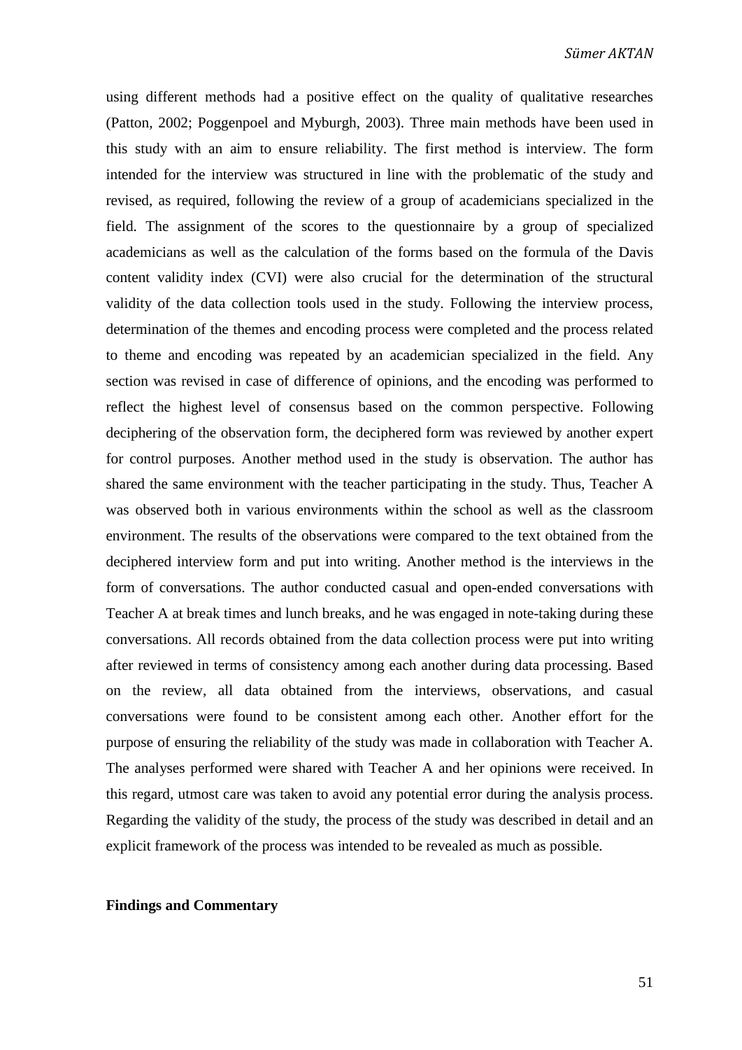using different methods had a positive effect on the quality of qualitative researches (Patton, 2002; Poggenpoel and Myburgh, 2003). Three main methods have been used in this study with an aim to ensure reliability. The first method is interview. The form intended for the interview was structured in line with the problematic of the study and revised, as required, following the review of a group of academicians specialized in the field. The assignment of the scores to the questionnaire by a group of specialized academicians as well as the calculation of the forms based on the formula of the Davis content validity index (CVI) were also crucial for the determination of the structural validity of the data collection tools used in the study. Following the interview process, determination of the themes and encoding process were completed and the process related to theme and encoding was repeated by an academician specialized in the field. Any section was revised in case of difference of opinions, and the encoding was performed to reflect the highest level of consensus based on the common perspective. Following deciphering of the observation form, the deciphered form was reviewed by another expert for control purposes. Another method used in the study is observation. The author has shared the same environment with the teacher participating in the study. Thus, Teacher A was observed both in various environments within the school as well as the classroom environment. The results of the observations were compared to the text obtained from the deciphered interview form and put into writing. Another method is the interviews in the form of conversations. The author conducted casual and open-ended conversations with Teacher A at break times and lunch breaks, and he was engaged in note-taking during these conversations. All records obtained from the data collection process were put into writing after reviewed in terms of consistency among each another during data processing. Based on the review, all data obtained from the interviews, observations, and casual conversations were found to be consistent among each other. Another effort for the purpose of ensuring the reliability of the study was made in collaboration with Teacher A. The analyses performed were shared with Teacher A and her opinions were received. In this regard, utmost care was taken to avoid any potential error during the analysis process. Regarding the validity of the study, the process of the study was described in detail and an explicit framework of the process was intended to be revealed as much as possible.

## **Findings and Commentary**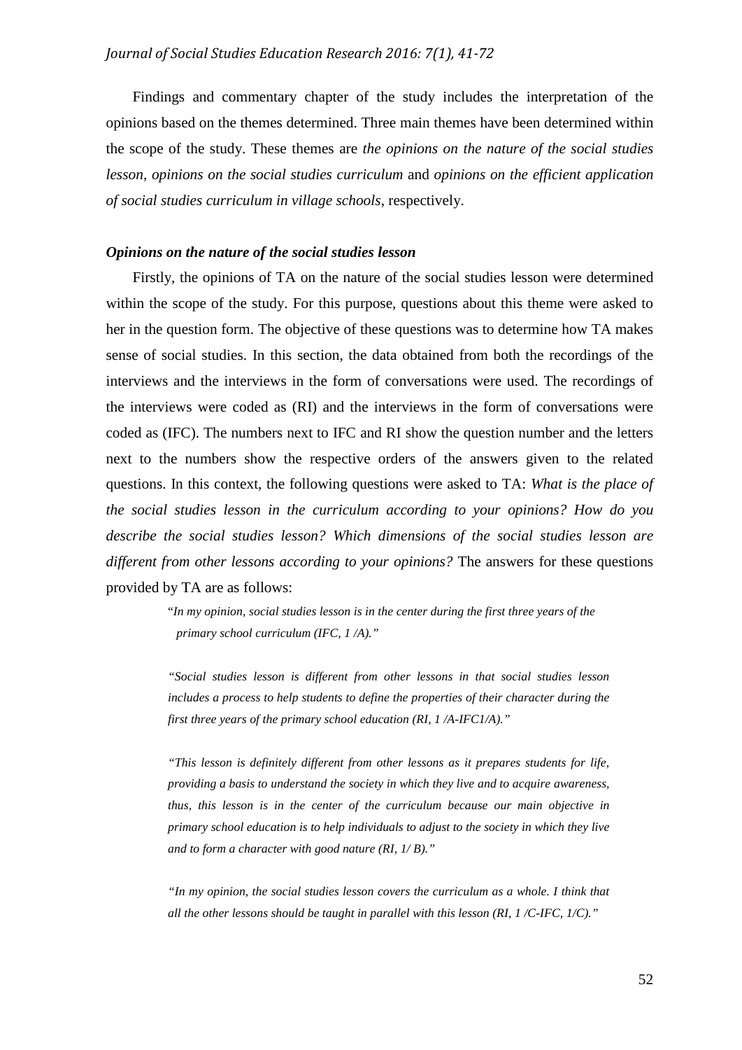Findings and commentary chapter of the study includes the interpretation of the opinions based on the themes determined. Three main themes have been determined within the scope of the study. These themes are *the opinions on the nature of the social studies lesson*, *opinions on the social studies curriculum* and *opinions on the efficient application of social studies curriculum in village schools*, respectively.

# *Opinions on the nature of the social studies lesson*

Firstly, the opinions of TA on the nature of the social studies lesson were determined within the scope of the study. For this purpose, questions about this theme were asked to her in the question form. The objective of these questions was to determine how TA makes sense of social studies. In this section, the data obtained from both the recordings of the interviews and the interviews in the form of conversations were used. The recordings of the interviews were coded as (RI) and the interviews in the form of conversations were coded as (IFC). The numbers next to IFC and RI show the question number and the letters next to the numbers show the respective orders of the answers given to the related questions. In this context, the following questions were asked to TA: *What is the place of the social studies lesson in the curriculum according to your opinions? How do you describe the social studies lesson? Which dimensions of the social studies lesson are different from other lessons according to your opinions?* The answers for these questions provided by TA are as follows:

> "*In my opinion, social studies lesson is in the center during the first three years of the primary school curriculum (IFC, 1 /A)."*

*"Social studies lesson is different from other lessons in that social studies lesson includes a process to help students to define the properties of their character during the first three years of the primary school education (RI, 1 /A-IFC1/A)."*

*"This lesson is definitely different from other lessons as it prepares students for life, providing a basis to understand the society in which they live and to acquire awareness, thus, this lesson is in the center of the curriculum because our main objective in primary school education is to help individuals to adjust to the society in which they live and to form a character with good nature (RI, 1/ B)."*

*"In my opinion, the social studies lesson covers the curriculum as a whole. I think that all the other lessons should be taught in parallel with this lesson (RI, 1 /C-IFC, 1/C)."*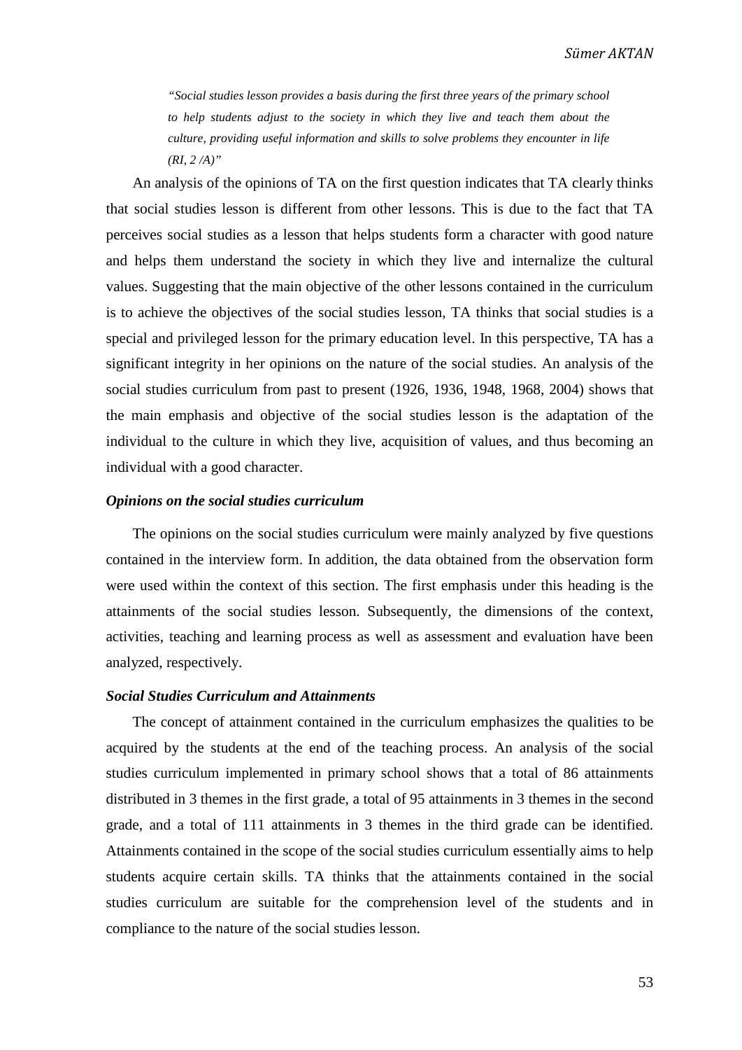*"Social studies lesson provides a basis during the first three years of the primary school to help students adjust to the society in which they live and teach them about the culture, providing useful information and skills to solve problems they encounter in life (RI, 2 /A)"*

An analysis of the opinions of TA on the first question indicates that TA clearly thinks that social studies lesson is different from other lessons. This is due to the fact that TA perceives social studies as a lesson that helps students form a character with good nature and helps them understand the society in which they live and internalize the cultural values. Suggesting that the main objective of the other lessons contained in the curriculum is to achieve the objectives of the social studies lesson, TA thinks that social studies is a special and privileged lesson for the primary education level. In this perspective, TA has a significant integrity in her opinions on the nature of the social studies. An analysis of the social studies curriculum from past to present (1926, 1936, 1948, 1968, 2004) shows that the main emphasis and objective of the social studies lesson is the adaptation of the individual to the culture in which they live, acquisition of values, and thus becoming an individual with a good character.

## *Opinions on the social studies curriculum*

The opinions on the social studies curriculum were mainly analyzed by five questions contained in the interview form. In addition, the data obtained from the observation form were used within the context of this section. The first emphasis under this heading is the attainments of the social studies lesson. Subsequently, the dimensions of the context, activities, teaching and learning process as well as assessment and evaluation have been analyzed, respectively.

### *Social Studies Curriculum and Attainments*

The concept of attainment contained in the curriculum emphasizes the qualities to be acquired by the students at the end of the teaching process. An analysis of the social studies curriculum implemented in primary school shows that a total of 86 attainments distributed in 3 themes in the first grade, a total of 95 attainments in 3 themes in the second grade, and a total of 111 attainments in 3 themes in the third grade can be identified. Attainments contained in the scope of the social studies curriculum essentially aims to help students acquire certain skills. TA thinks that the attainments contained in the social studies curriculum are suitable for the comprehension level of the students and in compliance to the nature of the social studies lesson.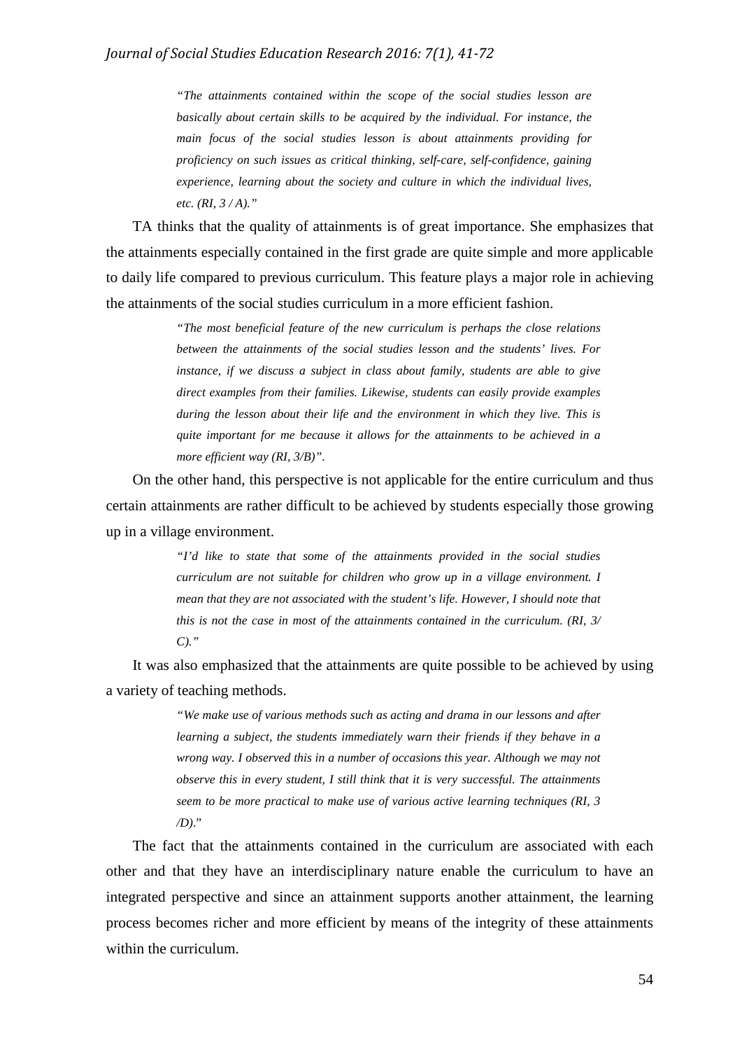*"The attainments contained within the scope of the social studies lesson are basically about certain skills to be acquired by the individual. For instance, the main focus of the social studies lesson is about attainments providing for proficiency on such issues as critical thinking, self-care, self-confidence, gaining experience, learning about the society and culture in which the individual lives, etc. (RI, 3 / A)."*

TA thinks that the quality of attainments is of great importance. She emphasizes that the attainments especially contained in the first grade are quite simple and more applicable to daily life compared to previous curriculum. This feature plays a major role in achieving the attainments of the social studies curriculum in a more efficient fashion.

> *"The most beneficial feature of the new curriculum is perhaps the close relations between the attainments of the social studies lesson and the students' lives. For instance, if we discuss a subject in class about family, students are able to give direct examples from their families. Likewise, students can easily provide examples during the lesson about their life and the environment in which they live. This is quite important for me because it allows for the attainments to be achieved in a more efficient way (RI, 3/B)".*

On the other hand, this perspective is not applicable for the entire curriculum and thus certain attainments are rather difficult to be achieved by students especially those growing up in a village environment.

> *"I'd like to state that some of the attainments provided in the social studies curriculum are not suitable for children who grow up in a village environment. I mean that they are not associated with the student's life. However, I should note that this is not the case in most of the attainments contained in the curriculum. (RI, 3/ C)."*

It was also emphasized that the attainments are quite possible to be achieved by using a variety of teaching methods.

> *"We make use of various methods such as acting and drama in our lessons and after learning a subject, the students immediately warn their friends if they behave in a wrong way. I observed this in a number of occasions this year. Although we may not observe this in every student, I still think that it is very successful. The attainments seem to be more practical to make use of various active learning techniques (RI, 3 /D)*."

The fact that the attainments contained in the curriculum are associated with each other and that they have an interdisciplinary nature enable the curriculum to have an integrated perspective and since an attainment supports another attainment, the learning process becomes richer and more efficient by means of the integrity of these attainments within the curriculum.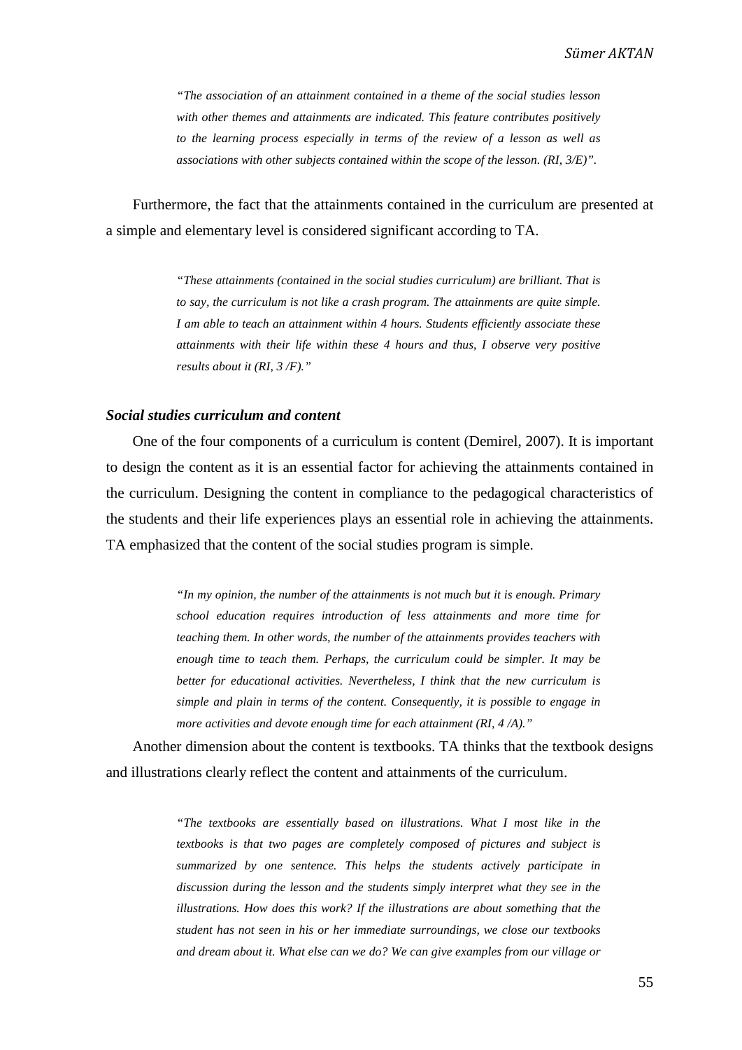*"The association of an attainment contained in a theme of the social studies lesson with other themes and attainments are indicated. This feature contributes positively to the learning process especially in terms of the review of a lesson as well as associations with other subjects contained within the scope of the lesson. (RI, 3/E)".*

Furthermore, the fact that the attainments contained in the curriculum are presented at a simple and elementary level is considered significant according to TA.

> *"These attainments (contained in the social studies curriculum) are brilliant. That is to say, the curriculum is not like a crash program. The attainments are quite simple. I am able to teach an attainment within 4 hours. Students efficiently associate these attainments with their life within these 4 hours and thus, I observe very positive results about it (RI, 3 /F)."*

#### *Social studies curriculum and content*

One of the four components of a curriculum is content (Demirel, 2007). It is important to design the content as it is an essential factor for achieving the attainments contained in the curriculum. Designing the content in compliance to the pedagogical characteristics of the students and their life experiences plays an essential role in achieving the attainments. TA emphasized that the content of the social studies program is simple.

> *"In my opinion, the number of the attainments is not much but it is enough. Primary school education requires introduction of less attainments and more time for teaching them. In other words, the number of the attainments provides teachers with enough time to teach them. Perhaps, the curriculum could be simpler. It may be better for educational activities. Nevertheless, I think that the new curriculum is simple and plain in terms of the content. Consequently, it is possible to engage in more activities and devote enough time for each attainment (RI, 4 /A)."*

Another dimension about the content is textbooks. TA thinks that the textbook designs and illustrations clearly reflect the content and attainments of the curriculum.

> *"The textbooks are essentially based on illustrations. What I most like in the textbooks is that two pages are completely composed of pictures and subject is summarized by one sentence. This helps the students actively participate in discussion during the lesson and the students simply interpret what they see in the illustrations. How does this work? If the illustrations are about something that the student has not seen in his or her immediate surroundings, we close our textbooks and dream about it. What else can we do? We can give examples from our village or*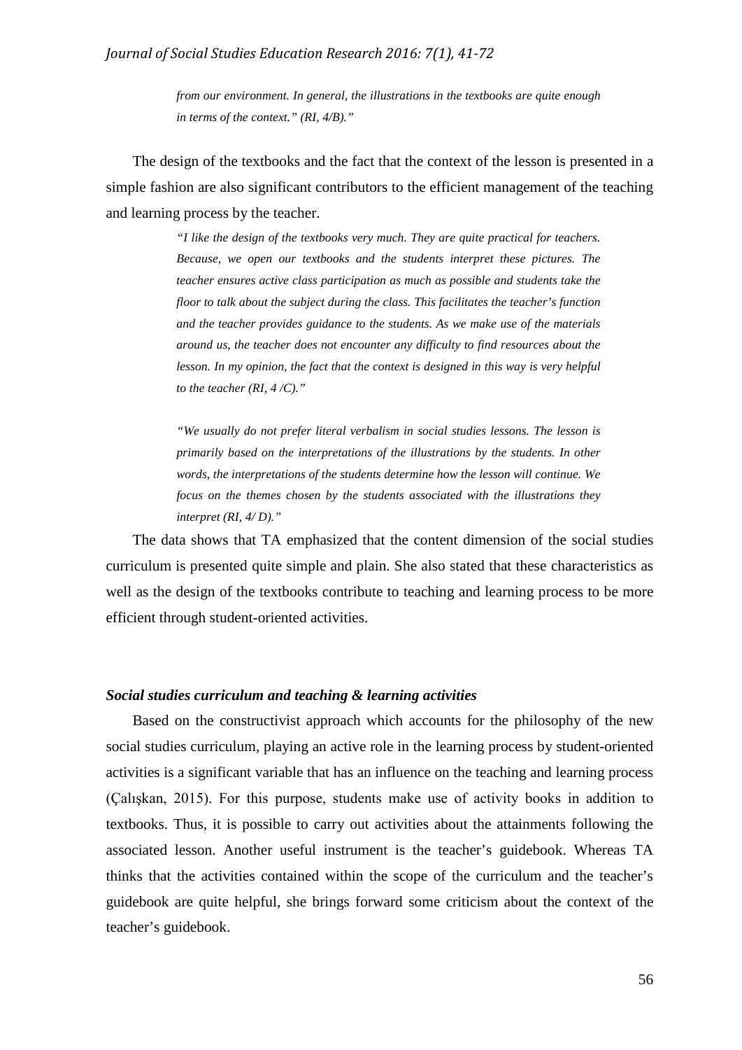*from our environment. In general, the illustrations in the textbooks are quite enough in terms of the context." (RI, 4/B)."*

The design of the textbooks and the fact that the context of the lesson is presented in a simple fashion are also significant contributors to the efficient management of the teaching and learning process by the teacher.

> *"I like the design of the textbooks very much. They are quite practical for teachers. Because, we open our textbooks and the students interpret these pictures. The teacher ensures active class participation as much as possible and students take the floor to talk about the subject during the class. This facilitates the teacher's function and the teacher provides guidance to the students. As we make use of the materials around us, the teacher does not encounter any difficulty to find resources about the lesson. In my opinion, the fact that the context is designed in this way is very helpful to the teacher (RI, 4 /C)."*

> *"We usually do not prefer literal verbalism in social studies lessons. The lesson is primarily based on the interpretations of the illustrations by the students. In other words, the interpretations of the students determine how the lesson will continue. We focus on the themes chosen by the students associated with the illustrations they interpret (RI, 4/ D)."*

The data shows that TA emphasized that the content dimension of the social studies curriculum is presented quite simple and plain. She also stated that these characteristics as well as the design of the textbooks contribute to teaching and learning process to be more efficient through student-oriented activities.

#### *Social studies curriculum and teaching & learning activities*

Based on the constructivist approach which accounts for the philosophy of the new social studies curriculum, playing an active role in the learning process by student-oriented activities is a significant variable that has an influence on the teaching and learning process (Çalışkan, 2015). For this purpose, students make use of activity books in addition to textbooks. Thus, it is possible to carry out activities about the attainments following the associated lesson. Another useful instrument is the teacher's guidebook. Whereas TA thinks that the activities contained within the scope of the curriculum and the teacher's guidebook are quite helpful, she brings forward some criticism about the context of the teacher's guidebook.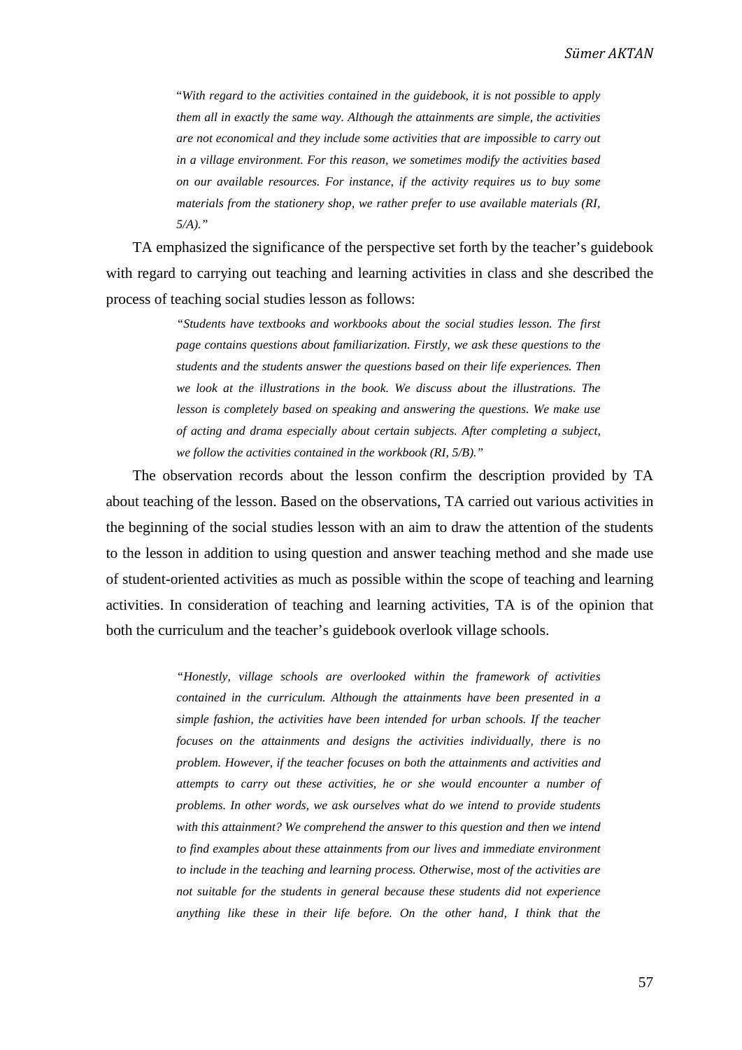"*With regard to the activities contained in the guidebook, it is not possible to apply them all in exactly the same way. Although the attainments are simple, the activities are not economical and they include some activities that are impossible to carry out in a village environment. For this reason, we sometimes modify the activities based on our available resources. For instance, if the activity requires us to buy some materials from the stationery shop, we rather prefer to use available materials (RI, 5/A)."*

TA emphasized the significance of the perspective set forth by the teacher's guidebook with regard to carrying out teaching and learning activities in class and she described the process of teaching social studies lesson as follows:

> *"Students have textbooks and workbooks about the social studies lesson. The first page contains questions about familiarization. Firstly, we ask these questions to the students and the students answer the questions based on their life experiences. Then we look at the illustrations in the book. We discuss about the illustrations. The lesson is completely based on speaking and answering the questions. We make use of acting and drama especially about certain subjects. After completing a subject, we follow the activities contained in the workbook (RI, 5/B)."*

The observation records about the lesson confirm the description provided by TA about teaching of the lesson. Based on the observations, TA carried out various activities in the beginning of the social studies lesson with an aim to draw the attention of the students to the lesson in addition to using question and answer teaching method and she made use of student-oriented activities as much as possible within the scope of teaching and learning activities. In consideration of teaching and learning activities, TA is of the opinion that both the curriculum and the teacher's guidebook overlook village schools.

> *"Honestly, village schools are overlooked within the framework of activities contained in the curriculum. Although the attainments have been presented in a simple fashion, the activities have been intended for urban schools. If the teacher focuses on the attainments and designs the activities individually, there is no problem. However, if the teacher focuses on both the attainments and activities and attempts to carry out these activities, he or she would encounter a number of problems. In other words, we ask ourselves what do we intend to provide students with this attainment? We comprehend the answer to this question and then we intend to find examples about these attainments from our lives and immediate environment to include in the teaching and learning process. Otherwise, most of the activities are not suitable for the students in general because these students did not experience anything like these in their life before. On the other hand, I think that the*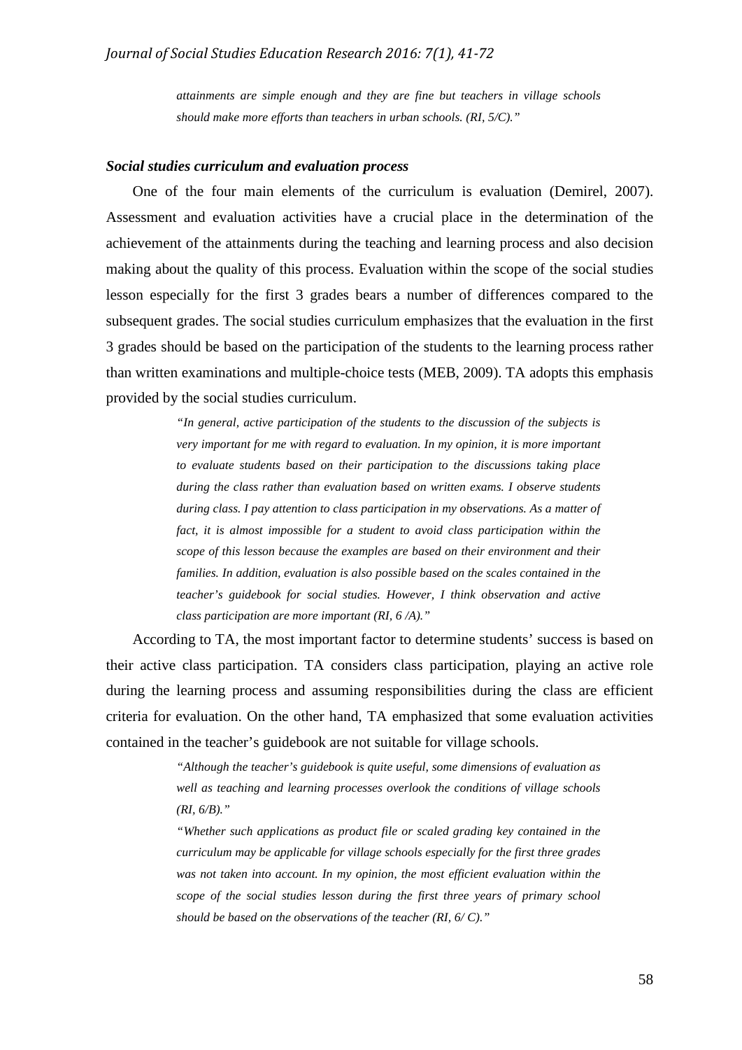*attainments are simple enough and they are fine but teachers in village schools should make more efforts than teachers in urban schools. (RI, 5/C)."*

#### *Social studies curriculum and evaluation process*

One of the four main elements of the curriculum is evaluation (Demirel, 2007). Assessment and evaluation activities have a crucial place in the determination of the achievement of the attainments during the teaching and learning process and also decision making about the quality of this process. Evaluation within the scope of the social studies lesson especially for the first 3 grades bears a number of differences compared to the subsequent grades. The social studies curriculum emphasizes that the evaluation in the first 3 grades should be based on the participation of the students to the learning process rather than written examinations and multiple-choice tests (MEB, 2009). TA adopts this emphasis provided by the social studies curriculum.

> *"In general, active participation of the students to the discussion of the subjects is very important for me with regard to evaluation. In my opinion, it is more important to evaluate students based on their participation to the discussions taking place during the class rather than evaluation based on written exams. I observe students during class. I pay attention to class participation in my observations. As a matter of fact, it is almost impossible for a student to avoid class participation within the scope of this lesson because the examples are based on their environment and their families. In addition, evaluation is also possible based on the scales contained in the teacher's guidebook for social studies. However, I think observation and active class participation are more important (RI, 6 /A)."*

According to TA, the most important factor to determine students' success is based on their active class participation. TA considers class participation, playing an active role during the learning process and assuming responsibilities during the class are efficient criteria for evaluation. On the other hand, TA emphasized that some evaluation activities contained in the teacher's guidebook are not suitable for village schools.

> *"Although the teacher's guidebook is quite useful, some dimensions of evaluation as well as teaching and learning processes overlook the conditions of village schools (RI, 6/B)."*

> *"Whether such applications as product file or scaled grading key contained in the curriculum may be applicable for village schools especially for the first three grades was not taken into account. In my opinion, the most efficient evaluation within the scope of the social studies lesson during the first three years of primary school should be based on the observations of the teacher (RI, 6/ C)."*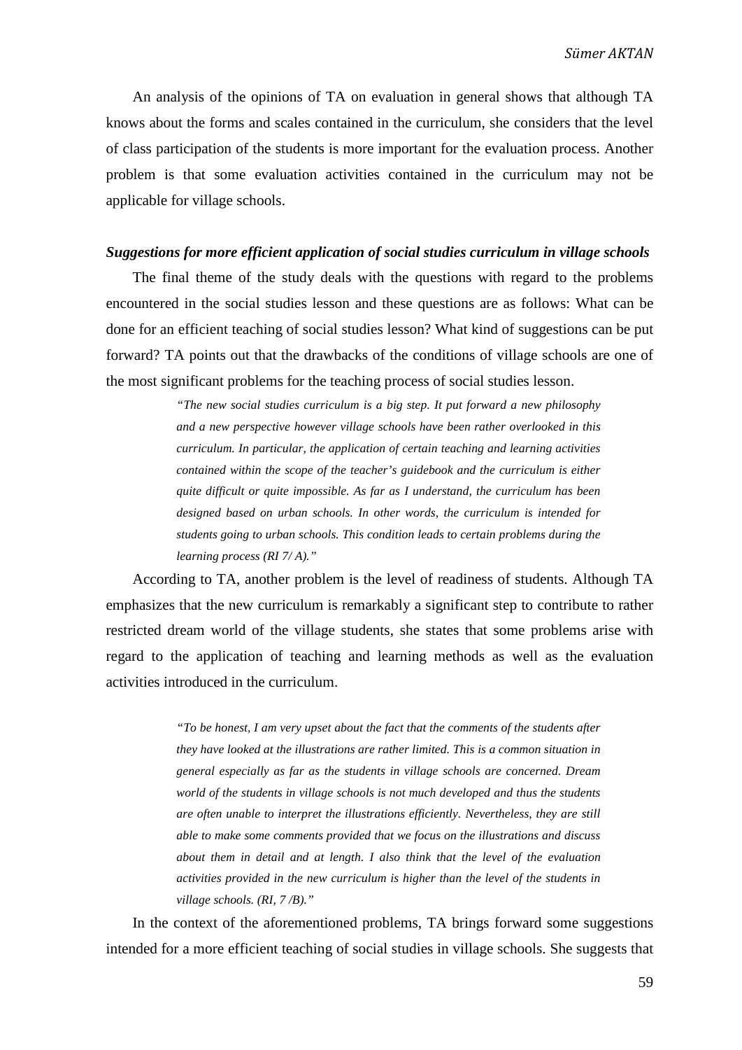An analysis of the opinions of TA on evaluation in general shows that although TA knows about the forms and scales contained in the curriculum, she considers that the level of class participation of the students is more important for the evaluation process. Another problem is that some evaluation activities contained in the curriculum may not be applicable for village schools.

## *Suggestions for more efficient application of social studies curriculum in village schools*

The final theme of the study deals with the questions with regard to the problems encountered in the social studies lesson and these questions are as follows: What can be done for an efficient teaching of social studies lesson? What kind of suggestions can be put forward? TA points out that the drawbacks of the conditions of village schools are one of the most significant problems for the teaching process of social studies lesson.

> *"The new social studies curriculum is a big step. It put forward a new philosophy and a new perspective however village schools have been rather overlooked in this curriculum. In particular, the application of certain teaching and learning activities contained within the scope of the teacher's guidebook and the curriculum is either quite difficult or quite impossible. As far as I understand, the curriculum has been designed based on urban schools. In other words, the curriculum is intended for students going to urban schools. This condition leads to certain problems during the learning process (RI 7/ A)."*

According to TA, another problem is the level of readiness of students. Although TA emphasizes that the new curriculum is remarkably a significant step to contribute to rather restricted dream world of the village students, she states that some problems arise with regard to the application of teaching and learning methods as well as the evaluation activities introduced in the curriculum.

> *"To be honest, I am very upset about the fact that the comments of the students after they have looked at the illustrations are rather limited. This is a common situation in general especially as far as the students in village schools are concerned. Dream world of the students in village schools is not much developed and thus the students are often unable to interpret the illustrations efficiently. Nevertheless, they are still able to make some comments provided that we focus on the illustrations and discuss about them in detail and at length. I also think that the level of the evaluation activities provided in the new curriculum is higher than the level of the students in village schools. (RI, 7 /B)."*

In the context of the aforementioned problems, TA brings forward some suggestions intended for a more efficient teaching of social studies in village schools. She suggests that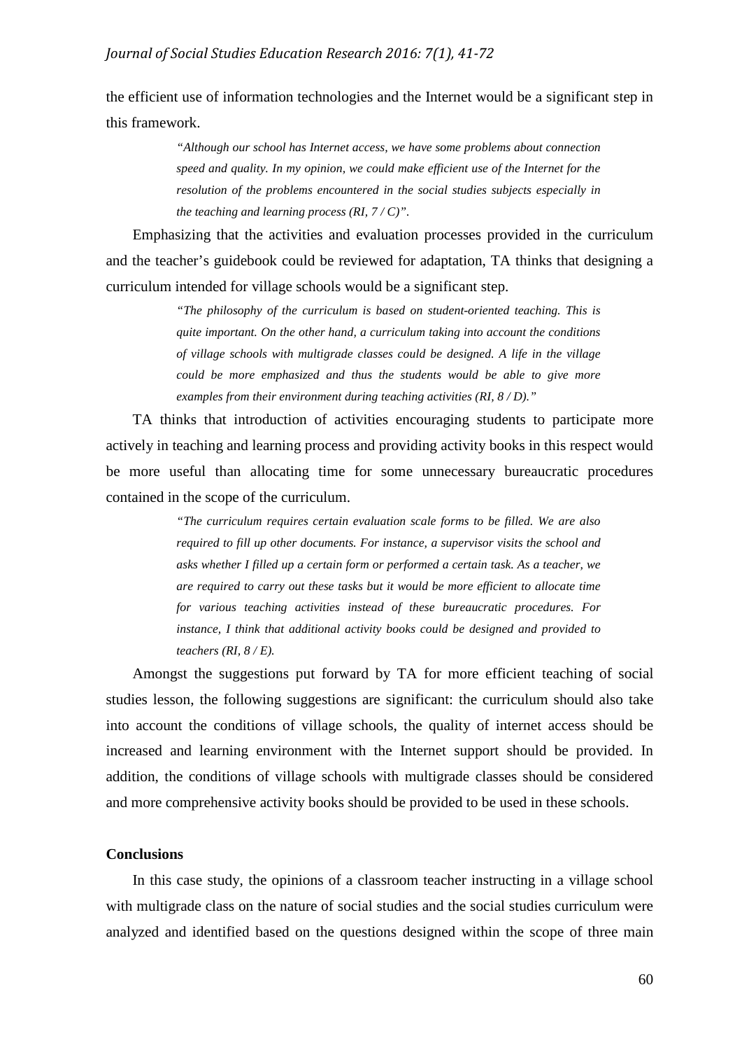the efficient use of information technologies and the Internet would be a significant step in this framework.

> *"Although our school has Internet access, we have some problems about connection speed and quality. In my opinion, we could make efficient use of the Internet for the resolution of the problems encountered in the social studies subjects especially in the teaching and learning process (RI, 7 / C)".*

Emphasizing that the activities and evaluation processes provided in the curriculum and the teacher's guidebook could be reviewed for adaptation, TA thinks that designing a curriculum intended for village schools would be a significant step.

> *"The philosophy of the curriculum is based on student-oriented teaching. This is quite important. On the other hand, a curriculum taking into account the conditions of village schools with multigrade classes could be designed. A life in the village could be more emphasized and thus the students would be able to give more examples from their environment during teaching activities (RI, 8 / D)."*

TA thinks that introduction of activities encouraging students to participate more actively in teaching and learning process and providing activity books in this respect would be more useful than allocating time for some unnecessary bureaucratic procedures contained in the scope of the curriculum.

> *"The curriculum requires certain evaluation scale forms to be filled. We are also required to fill up other documents. For instance, a supervisor visits the school and asks whether I filled up a certain form or performed a certain task. As a teacher, we are required to carry out these tasks but it would be more efficient to allocate time for various teaching activities instead of these bureaucratic procedures. For instance, I think that additional activity books could be designed and provided to teachers (RI, 8 / E).*

Amongst the suggestions put forward by TA for more efficient teaching of social studies lesson, the following suggestions are significant: the curriculum should also take into account the conditions of village schools, the quality of internet access should be increased and learning environment with the Internet support should be provided. In addition, the conditions of village schools with multigrade classes should be considered and more comprehensive activity books should be provided to be used in these schools.

#### **Conclusions**

In this case study, the opinions of a classroom teacher instructing in a village school with multigrade class on the nature of social studies and the social studies curriculum were analyzed and identified based on the questions designed within the scope of three main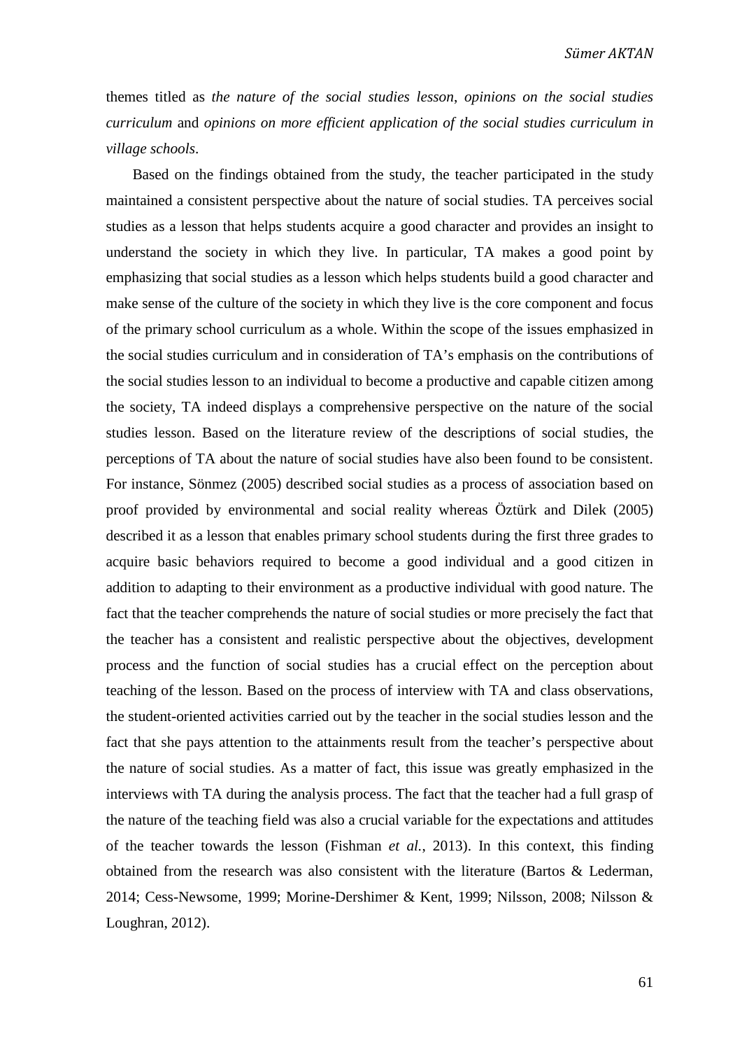themes titled as *the nature of the social studies lesson*, *opinions on the social studies curriculum* and *opinions on more efficient application of the social studies curriculum in village schools*.

Based on the findings obtained from the study, the teacher participated in the study maintained a consistent perspective about the nature of social studies. TA perceives social studies as a lesson that helps students acquire a good character and provides an insight to understand the society in which they live. In particular, TA makes a good point by emphasizing that social studies as a lesson which helps students build a good character and make sense of the culture of the society in which they live is the core component and focus of the primary school curriculum as a whole. Within the scope of the issues emphasized in the social studies curriculum and in consideration of TA's emphasis on the contributions of the social studies lesson to an individual to become a productive and capable citizen among the society, TA indeed displays a comprehensive perspective on the nature of the social studies lesson. Based on the literature review of the descriptions of social studies, the perceptions of TA about the nature of social studies have also been found to be consistent. For instance, Sönmez (2005) described social studies as a process of association based on proof provided by environmental and social reality whereas Öztürk and Dilek (2005) described it as a lesson that enables primary school students during the first three grades to acquire basic behaviors required to become a good individual and a good citizen in addition to adapting to their environment as a productive individual with good nature. The fact that the teacher comprehends the nature of social studies or more precisely the fact that the teacher has a consistent and realistic perspective about the objectives, development process and the function of social studies has a crucial effect on the perception about teaching of the lesson. Based on the process of interview with TA and class observations, the student-oriented activities carried out by the teacher in the social studies lesson and the fact that she pays attention to the attainments result from the teacher's perspective about the nature of social studies. As a matter of fact, this issue was greatly emphasized in the interviews with TA during the analysis process. The fact that the teacher had a full grasp of the nature of the teaching field was also a crucial variable for the expectations and attitudes of the teacher towards the lesson (Fishman *et al.*, 2013). In this context, this finding obtained from the research was also consistent with the literature (Bartos & Lederman, 2014; Cess-Newsome, 1999; Morine-Dershimer & Kent, 1999; Nilsson, 2008; Nilsson & Loughran, 2012).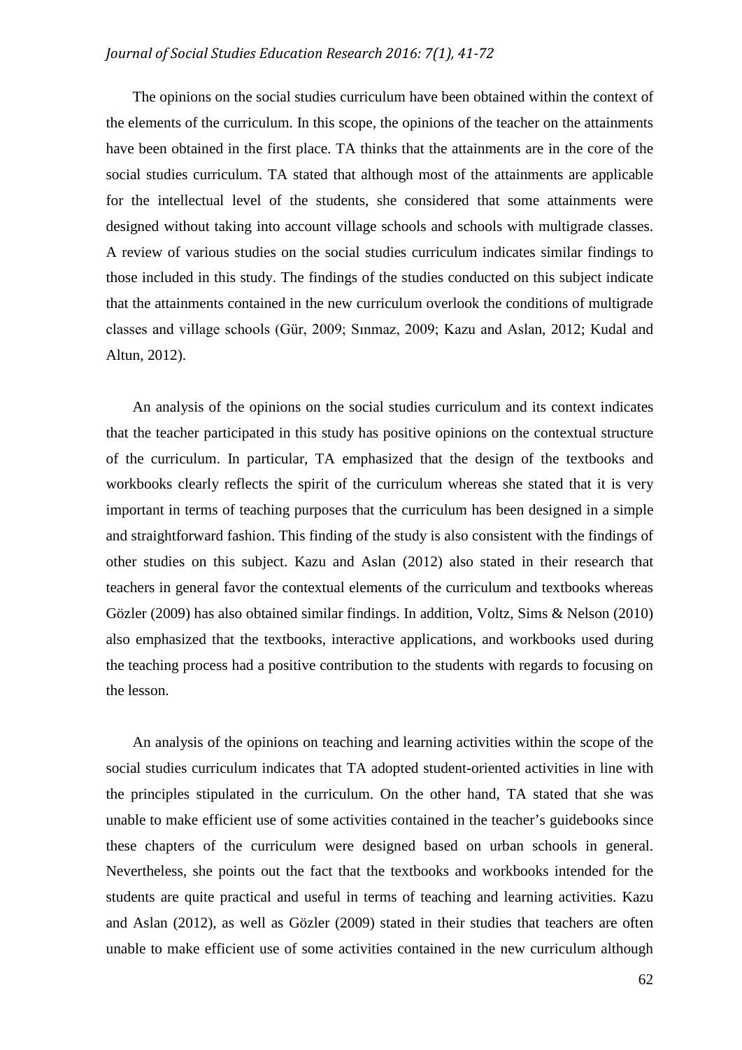# *Journal of Social Studies Education Research 2016: 7(1), 41-72*

The opinions on the social studies curriculum have been obtained within the context of the elements of the curriculum. In this scope, the opinions of the teacher on the attainments have been obtained in the first place. TA thinks that the attainments are in the core of the social studies curriculum. TA stated that although most of the attainments are applicable for the intellectual level of the students, she considered that some attainments were designed without taking into account village schools and schools with multigrade classes. A review of various studies on the social studies curriculum indicates similar findings to those included in this study. The findings of the studies conducted on this subject indicate that the attainments contained in the new curriculum overlook the conditions of multigrade classes and village schools (Gür, 2009; Sınmaz, 2009; Kazu and Aslan, 2012; Kudal and Altun, 2012).

An analysis of the opinions on the social studies curriculum and its context indicates that the teacher participated in this study has positive opinions on the contextual structure of the curriculum. In particular, TA emphasized that the design of the textbooks and workbooks clearly reflects the spirit of the curriculum whereas she stated that it is very important in terms of teaching purposes that the curriculum has been designed in a simple and straightforward fashion. This finding of the study is also consistent with the findings of other studies on this subject. Kazu and Aslan (2012) also stated in their research that teachers in general favor the contextual elements of the curriculum and textbooks whereas Gözler (2009) has also obtained similar findings. In addition, Voltz, Sims & Nelson (2010) also emphasized that the textbooks, interactive applications, and workbooks used during the teaching process had a positive contribution to the students with regards to focusing on the lesson.

An analysis of the opinions on teaching and learning activities within the scope of the social studies curriculum indicates that TA adopted student-oriented activities in line with the principles stipulated in the curriculum. On the other hand, TA stated that she was unable to make efficient use of some activities contained in the teacher's guidebooks since these chapters of the curriculum were designed based on urban schools in general. Nevertheless, she points out the fact that the textbooks and workbooks intended for the students are quite practical and useful in terms of teaching and learning activities. Kazu and Aslan (2012), as well as Gözler (2009) stated in their studies that teachers are often unable to make efficient use of some activities contained in the new curriculum although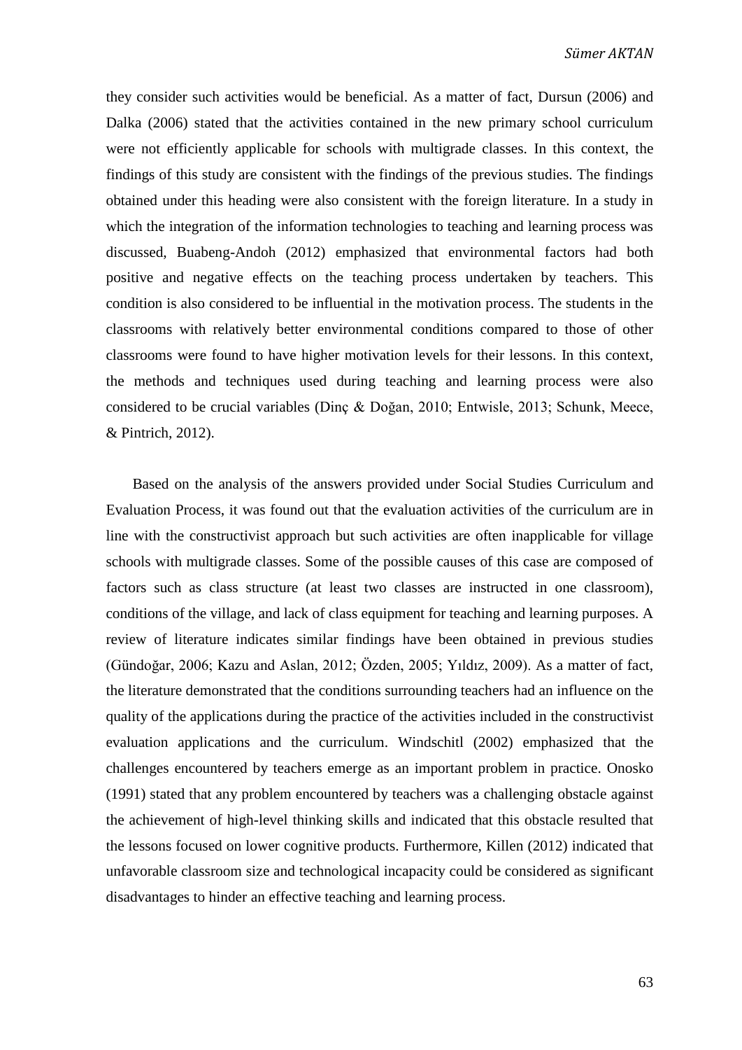they consider such activities would be beneficial. As a matter of fact, Dursun (2006) and Dalka (2006) stated that the activities contained in the new primary school curriculum were not efficiently applicable for schools with multigrade classes. In this context, the findings of this study are consistent with the findings of the previous studies. The findings obtained under this heading were also consistent with the foreign literature. In a study in which the integration of the information technologies to teaching and learning process was discussed, Buabeng-Andoh (2012) emphasized that environmental factors had both positive and negative effects on the teaching process undertaken by teachers. This condition is also considered to be influential in the motivation process. The students in the classrooms with relatively better environmental conditions compared to those of other classrooms were found to have higher motivation levels for their lessons. In this context, the methods and techniques used during teaching and learning process were also considered to be crucial variables (Dinç & Doğan, 2010; Entwisle, 2013; Schunk, Meece, & Pintrich, 2012).

Based on the analysis of the answers provided under Social Studies Curriculum and Evaluation Process, it was found out that the evaluation activities of the curriculum are in line with the constructivist approach but such activities are often inapplicable for village schools with multigrade classes. Some of the possible causes of this case are composed of factors such as class structure (at least two classes are instructed in one classroom), conditions of the village, and lack of class equipment for teaching and learning purposes. A review of literature indicates similar findings have been obtained in previous studies (Gündoğar, 2006; Kazu and Aslan, 2012; Özden, 2005; Yıldız, 2009). As a matter of fact, the literature demonstrated that the conditions surrounding teachers had an influence on the quality of the applications during the practice of the activities included in the constructivist evaluation applications and the curriculum. Windschitl (2002) emphasized that the challenges encountered by teachers emerge as an important problem in practice. Onosko (1991) stated that any problem encountered by teachers was a challenging obstacle against the achievement of high-level thinking skills and indicated that this obstacle resulted that the lessons focused on lower cognitive products. Furthermore, Killen (2012) indicated that unfavorable classroom size and technological incapacity could be considered as significant disadvantages to hinder an effective teaching and learning process.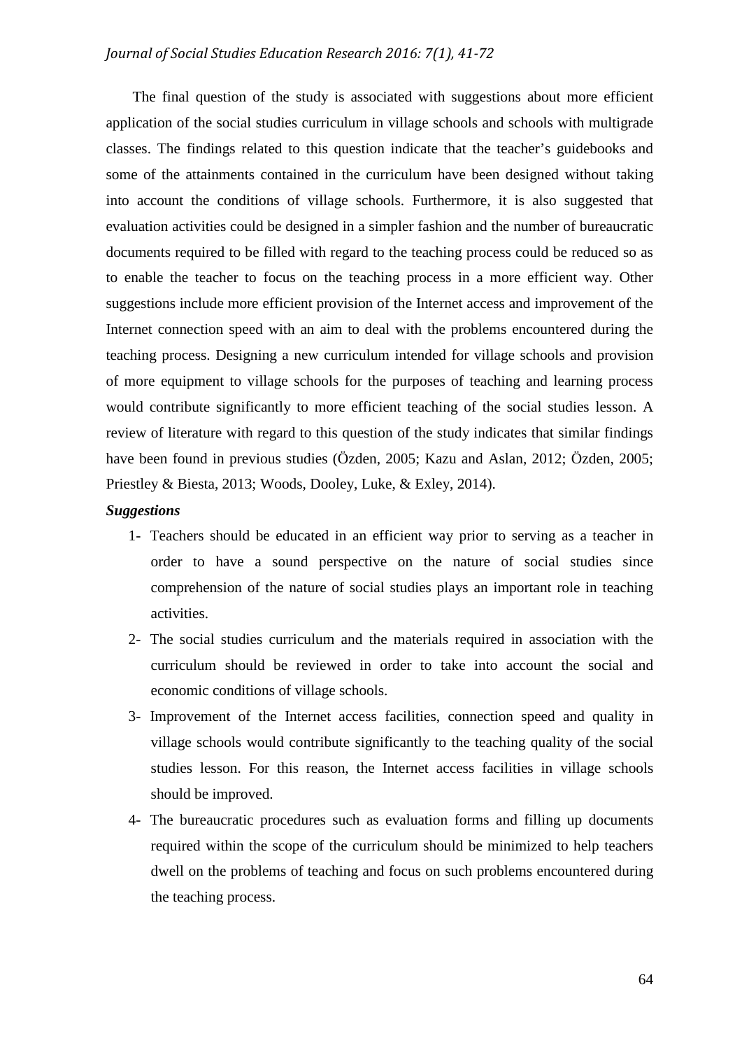# *Journal of Social Studies Education Research 2016: 7(1), 41-72*

The final question of the study is associated with suggestions about more efficient application of the social studies curriculum in village schools and schools with multigrade classes. The findings related to this question indicate that the teacher's guidebooks and some of the attainments contained in the curriculum have been designed without taking into account the conditions of village schools. Furthermore, it is also suggested that evaluation activities could be designed in a simpler fashion and the number of bureaucratic documents required to be filled with regard to the teaching process could be reduced so as to enable the teacher to focus on the teaching process in a more efficient way. Other suggestions include more efficient provision of the Internet access and improvement of the Internet connection speed with an aim to deal with the problems encountered during the teaching process. Designing a new curriculum intended for village schools and provision of more equipment to village schools for the purposes of teaching and learning process would contribute significantly to more efficient teaching of the social studies lesson. A review of literature with regard to this question of the study indicates that similar findings have been found in previous studies (Özden, 2005; Kazu and Aslan, 2012; Özden, 2005; Priestley & Biesta, 2013; Woods, Dooley, Luke, & Exley, 2014).

# *Suggestions*

- 1- Teachers should be educated in an efficient way prior to serving as a teacher in order to have a sound perspective on the nature of social studies since comprehension of the nature of social studies plays an important role in teaching activities.
- 2- The social studies curriculum and the materials required in association with the curriculum should be reviewed in order to take into account the social and economic conditions of village schools.
- 3- Improvement of the Internet access facilities, connection speed and quality in village schools would contribute significantly to the teaching quality of the social studies lesson. For this reason, the Internet access facilities in village schools should be improved.
- 4- The bureaucratic procedures such as evaluation forms and filling up documents required within the scope of the curriculum should be minimized to help teachers dwell on the problems of teaching and focus on such problems encountered during the teaching process.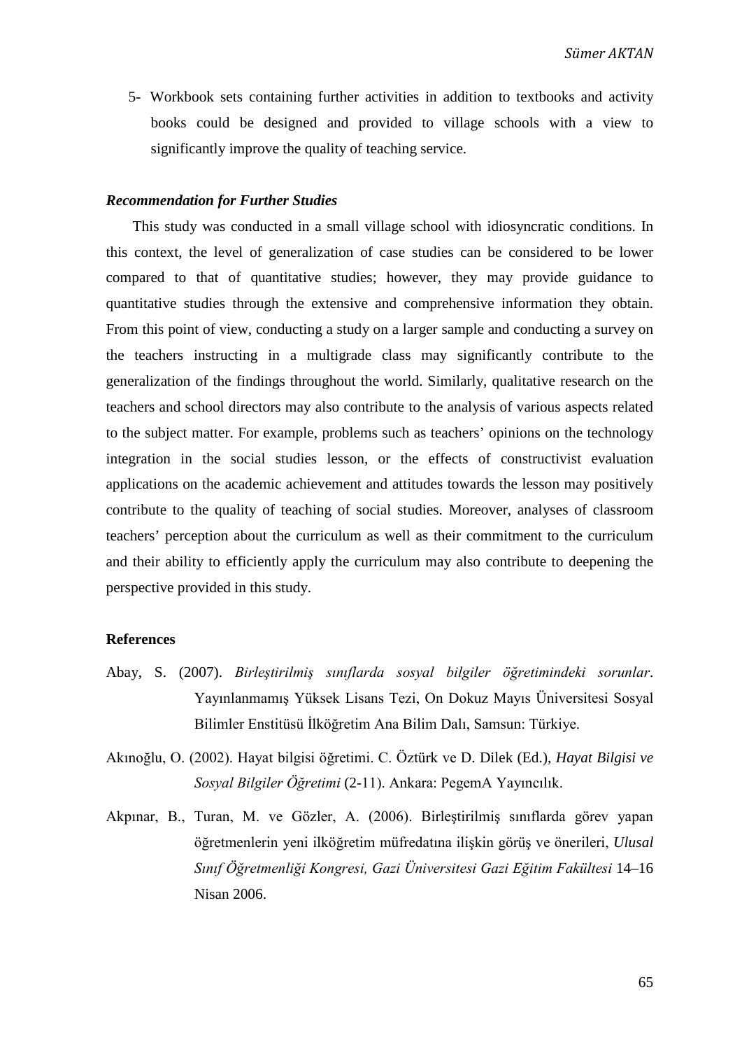5- Workbook sets containing further activities in addition to textbooks and activity books could be designed and provided to village schools with a view to significantly improve the quality of teaching service.

## *Recommendation for Further Studies*

This study was conducted in a small village school with idiosyncratic conditions. In this context, the level of generalization of case studies can be considered to be lower compared to that of quantitative studies; however, they may provide guidance to quantitative studies through the extensive and comprehensive information they obtain. From this point of view, conducting a study on a larger sample and conducting a survey on the teachers instructing in a multigrade class may significantly contribute to the generalization of the findings throughout the world. Similarly, qualitative research on the teachers and school directors may also contribute to the analysis of various aspects related to the subject matter. For example, problems such as teachers' opinions on the technology integration in the social studies lesson, or the effects of constructivist evaluation applications on the academic achievement and attitudes towards the lesson may positively contribute to the quality of teaching of social studies. Moreover, analyses of classroom teachers' perception about the curriculum as well as their commitment to the curriculum and their ability to efficiently apply the curriculum may also contribute to deepening the perspective provided in this study.

## **References**

- Abay, S. (2007). *Birleştirilmiş sınıflarda sosyal bilgiler öğretimindeki sorunlar*. Yayınlanmamış Yüksek Lisans Tezi, On Dokuz Mayıs Üniversitesi Sosyal Bilimler Enstitüsü İlköğretim Ana Bilim Dalı, Samsun: Türkiye.
- Akınoğlu, O. (2002). Hayat bilgisi öğretimi. C. Öztürk ve D. Dilek (Ed.), *Hayat Bilgisi ve Sosyal Bilgiler Öğretimi* (2-11). Ankara: PegemA Yayıncılık.
- Akpınar, B., Turan, M. ve Gözler, A. (2006). Birleştirilmiş sınıflarda görev yapan öğretmenlerin yeni ilköğretim müfredatına ilişkin görüş ve önerileri, *Ulusal Sınıf Öğretmenliği Kongresi, Gazi Üniversitesi Gazi Eğitim Fakültesi* 14–16 Nisan 2006.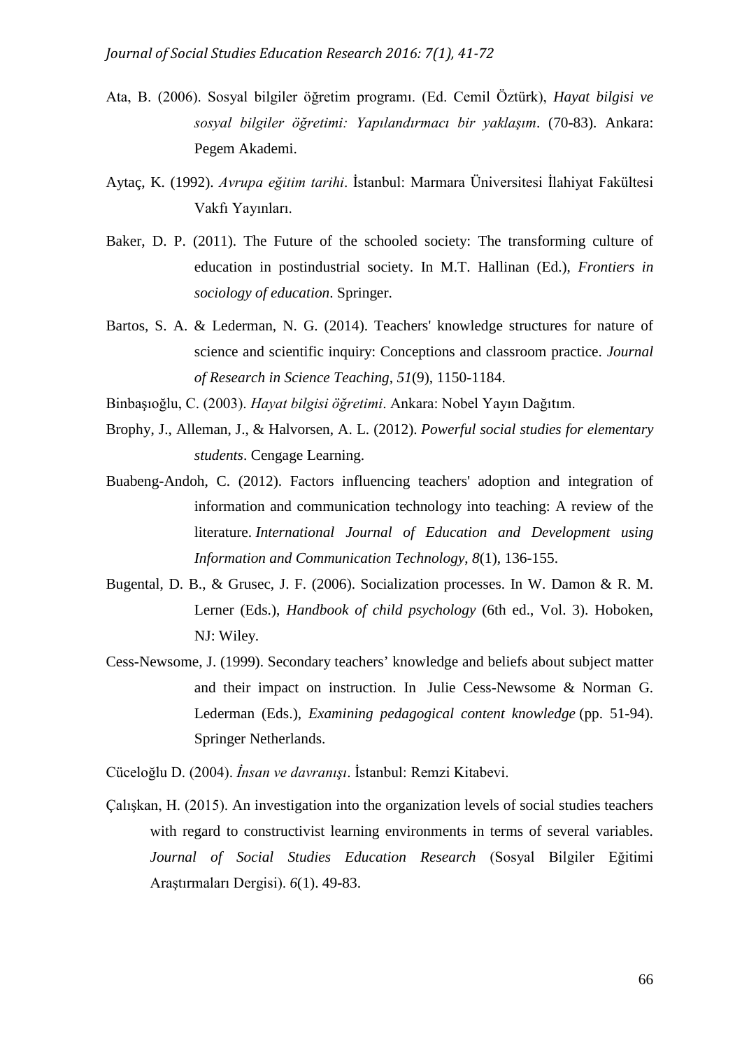- Ata, B. (2006). Sosyal bilgiler öğretim programı. (Ed. Cemil Öztürk), *Hayat bilgisi ve sosyal bilgiler öğretimi: Yapılandırmacı bir yaklaşım*. (70-83). Ankara: Pegem Akademi.
- Aytaç, K. (1992). *Avrupa eğitim tarihi*. İstanbul: Marmara Üniversitesi İlahiyat Fakültesi Vakfı Yayınları.
- Baker, D. P. (2011). The Future of the schooled society: The transforming culture of education in postindustrial society. In M.T. Hallinan (Ed.), *Frontiers in sociology of education*. Springer.
- Bartos, S. A. & Lederman, N. G. (2014). Teachers' knowledge structures for nature of science and scientific inquiry: Conceptions and classroom practice. *Journal of Research in Science Teaching*, *51*(9), 1150-1184.
- Binbaşıoğlu, C. (2003). *Hayat bilgisi öğretimi*. Ankara: Nobel Yayın Dağıtım.
- Brophy, J., Alleman, J., & Halvorsen, A. L. (2012). *Powerful social studies for elementary students*. Cengage Learning.
- Buabeng-Andoh, C. (2012). Factors influencing teachers' adoption and integration of information and communication technology into teaching: A review of the literature. *International Journal of Education and Development using Information and Communication Technology*, *8*(1), 136-155.
- Bugental, D. B., & Grusec, J. F. (2006). Socialization processes. In W. Damon & R. M. Lerner (Eds.), *Handbook of child psychology* (6th ed., Vol. 3). Hoboken, NJ: Wiley.
- Cess-Newsome, J. (1999). Secondary teachers' knowledge and beliefs about subject matter and their impact on instruction. In [Julie Cess-Newsome](http://link.springer.com/search?facet-creator=%22Julie+Gess-Newsome%22) & [Norman G.](http://link.springer.com/search?facet-creator=%22Norman+G.+Lederman%22)  [Lederman](http://link.springer.com/search?facet-creator=%22Norman+G.+Lederman%22) (Eds.), *Examining pedagogical content knowledge* (pp. 51-94). Springer Netherlands.
- Cüceloğlu D. (2004). *İnsan ve davranışı*. İstanbul: Remzi Kitabevi.
- Çalışkan, H. (2015). An investigation into the organization levels of social studies teachers with regard to constructivist learning environments in terms of several variables. *Journal of Social Studies Education Research* (Sosyal Bilgiler Eğitimi Araştırmaları Dergisi). *6*(1). 49-83.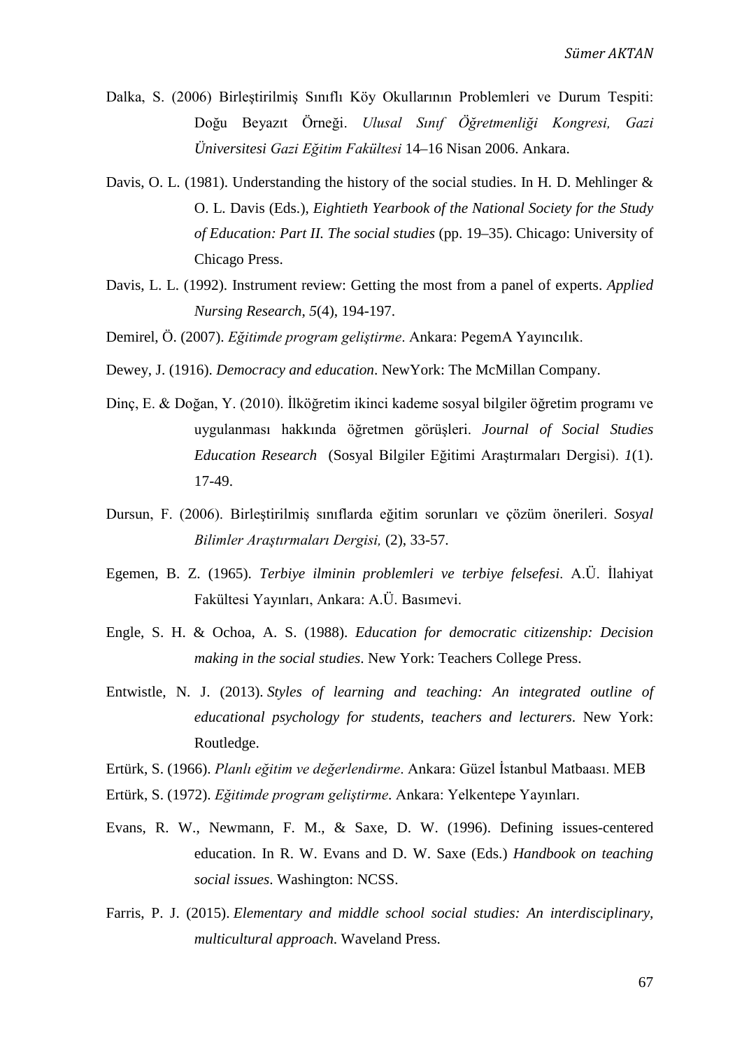- Dalka, S. (2006) Birleştirilmiş Sınıflı Köy Okullarının Problemleri ve Durum Tespiti: Doğu Beyazıt Örneği. *Ulusal Sınıf Öğretmenliği Kongresi, Gazi Üniversitesi Gazi Eğitim Fakültesi* 14–16 Nisan 2006. Ankara.
- Davis, O. L. (1981). Understanding the history of the social studies. In H. D. Mehlinger & O. L. Davis (Eds.), *Eightieth Yearbook of the National Society for the Study of Education: Part II. The social studies* (pp. 19–35). Chicago: University of Chicago Press.
- Davis, L. L. (1992). Instrument review: Getting the most from a panel of experts. *Applied Nursing Research*, *5*(4), 194-197.
- Demirel, Ö. (2007). *Eğitimde program geliştirme*. Ankara: PegemA Yayıncılık.
- Dewey, J. (1916). *Democracy and education*. NewYork: The McMillan Company.
- Dinç, E. & Doğan, Y. (2010). İlköğretim ikinci kademe sosyal bilgiler öğretim programı ve uygulanması hakkında öğretmen görüşleri. *Journal of Social Studies Education Research* (Sosyal Bilgiler Eğitimi Araştırmaları Dergisi). *1*(1). 17-49.
- Dursun, F. (2006). Birleştirilmiş sınıflarda eğitim sorunları ve çözüm önerileri. *Sosyal Bilimler Araştırmaları Dergisi,* (2), 33-57.
- Egemen, B. Z. (1965). *Terbiye ilminin problemleri ve terbiye felsefesi*. A.Ü. İlahiyat Fakültesi Yayınları, Ankara: A.Ü. Basımevi.
- Engle, S. H. & Ochoa, A. S. (1988). *Education for democratic citizenship: Decision making in the social studies*. New York: Teachers College Press.
- Entwistle, N. J. (2013). *Styles of learning and teaching: An integrated outline of educational psychology for students, teachers and lecturers*. New York: Routledge.
- Ertürk, S. (1966). *Planlı eğitim ve değerlendirme*. Ankara: Güzel İstanbul Matbaası. MEB
- Ertürk, S. (1972). *Eğitimde program geliştirme*. Ankara: Yelkentepe Yayınları.
- Evans, R. W., Newmann, F. M., & Saxe, D. W. (1996). Defining issues-centered education. In R. W. Evans and D. W. Saxe (Eds.) *Handbook on teaching social issues*. Washington: NCSS.
- Farris, P. J. (2015). *Elementary and middle school social studies: An interdisciplinary, multicultural approach*. Waveland Press.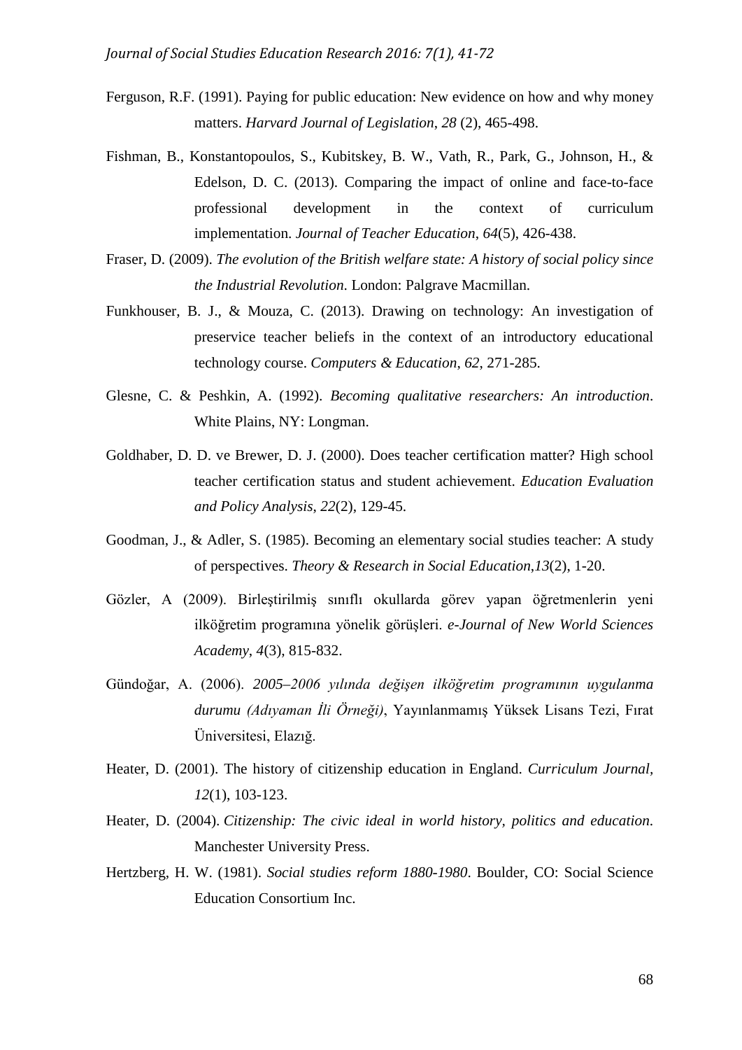- Ferguson, R.F. (1991). Paying for public education: New evidence on how and why money matters. *Harvard Journal of Legislation*, *28* (2), 465-498.
- Fishman, B., Konstantopoulos, S., Kubitskey, B. W., Vath, R., Park, G., Johnson, H., & Edelson, D. C. (2013). Comparing the impact of online and face-to-face professional development in the context of curriculum implementation. *Journal of Teacher Education*, *64*(5), 426-438.
- Fraser, D. (2009). *The evolution of the British welfare state: A history of social policy since the Industrial Revolution*. London: Palgrave Macmillan.
- Funkhouser, B. J., & Mouza, C. (2013). Drawing on technology: An investigation of preservice teacher beliefs in the context of an introductory educational technology course. *Computers & Education*, *62*, 271-285.
- Glesne, C. & Peshkin, A. (1992). *Becoming qualitative researchers: An introduction*. White Plains, NY: Longman.
- Goldhaber, D. D. ve Brewer, D. J. (2000). Does teacher certification matter? High school teacher certification status and student achievement. *Education Evaluation and Policy Analysis*, *22*(2), 129-45.
- Goodman, J., & Adler, S. (1985). Becoming an elementary social studies teacher: A study of perspectives. *Theory & Research in Social Education*,*13*(2), 1-20.
- Gözler, A (2009). Birleştirilmiş sınıflı okullarda görev yapan öğretmenlerin yeni ilköğretim programına yönelik görüşleri. *e-Journal of New World Sciences Academy*, *4*(3), 815-832.
- Gündoğar, A. (2006). *2005–2006 yılında değişen ilköğretim programının uygulanma durumu (Adıyaman İli Örneği)*, Yayınlanmamış Yüksek Lisans Tezi, Fırat Üniversitesi, Elazığ.
- Heater, D. (2001). The history of citizenship education in England. *Curriculum Journal, 12*(1), 103-123.
- Heater, D. (2004). *Citizenship: The civic ideal in world history, politics and education*. Manchester University Press.
- Hertzberg, H. W. (1981). *Social studies reform 1880-1980*. Boulder, CO: Social Science Education Consortium Inc.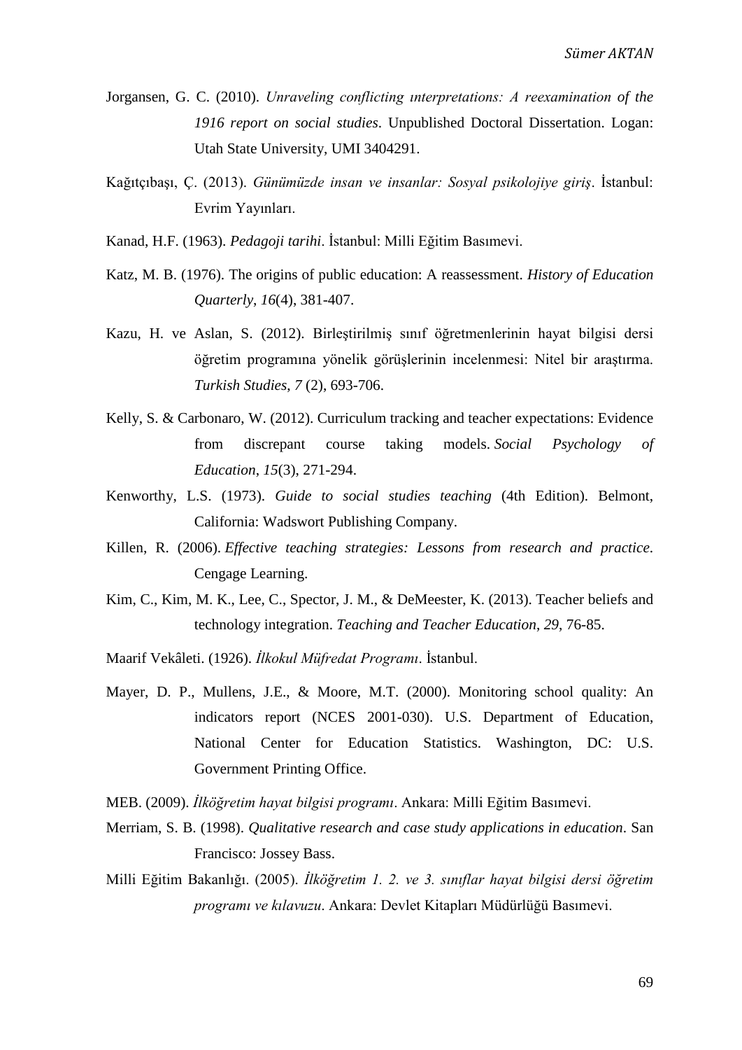- Jorgansen, G. C. (2010). *Unraveling conflicting ınterpretations: A reexamination of the 1916 report on social studies*. Unpublished Doctoral Dissertation. Logan: Utah State University, UMI 3404291.
- Kağıtçıbaşı, Ç. (2013). *Günümüzde insan ve insanlar: Sosyal psikolojiye giriş*. İstanbul: Evrim Yayınları.
- Kanad, H.F. (1963). *Pedagoji tarihi*. İstanbul: Milli Eğitim Basımevi.
- Katz, M. B. (1976). The origins of public education: A reassessment. *History of Education Quarterly*, *16*(4), 381-407.
- Kazu, H. ve Aslan, S. (2012). Birleştirilmiş sınıf öğretmenlerinin hayat bilgisi dersi öğretim programına yönelik görüşlerinin incelenmesi: Nitel bir araştırma. *Turkish Studies*, *7* (2), 693-706.
- Kelly, S. & Carbonaro, W. (2012). Curriculum tracking and teacher expectations: Evidence from discrepant course taking models. *Social Psychology of Education*, *15*(3), 271-294.
- Kenworthy, L.S. (1973). *Guide to social studies teaching* (4th Edition). Belmont, California: Wadswort Publishing Company.
- Killen, R. (2006). *Effective teaching strategies: Lessons from research and practice*. Cengage Learning.
- Kim, C., Kim, M. K., Lee, C., Spector, J. M., & DeMeester, K. (2013). Teacher beliefs and technology integration. *Teaching and Teacher Education*, *29*, 76-85.
- Maarif Vekâleti. (1926). *İlkokul Müfredat Programı*. İstanbul.
- Mayer, D. P., Mullens, J.E., & Moore, M.T. (2000). Monitoring school quality: An indicators report (NCES 2001-030). U.S. Department of Education, National Center for Education Statistics. Washington, DC: U.S. Government Printing Office.
- MEB. (2009). *İlköğretim hayat bilgisi programı*. Ankara: Milli Eğitim Basımevi.
- Merriam, S. B. (1998). *Qualitative research and case study applications in education*. San Francisco: Jossey Bass.
- Milli Eğitim Bakanlığı. (2005). *İlköğretim 1. 2. ve 3. sınıflar hayat bilgisi dersi öğretim programı ve kılavuzu*. Ankara: Devlet Kitapları Müdürlüğü Basımevi.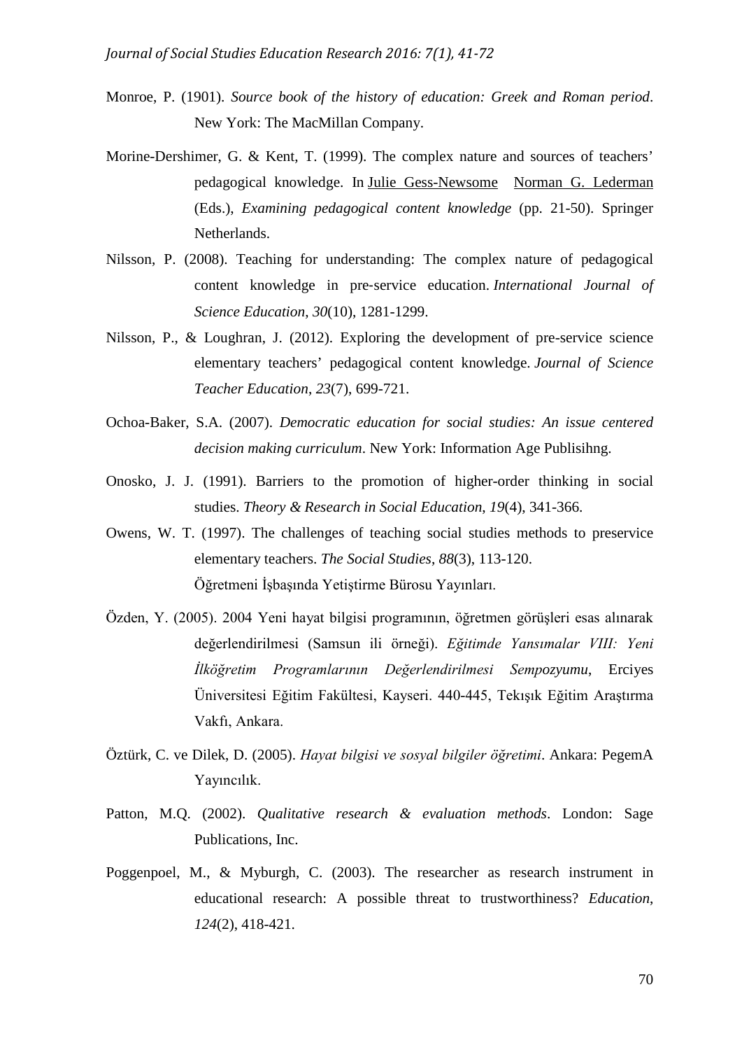- Monroe, P. (1901). *Source book of the history of education: Greek and Roman period*. New York: The MacMillan Company.
- Morine-Dershimer, G. & Kent, T. (1999). The complex nature and sources of teachers' pedagogical knowledge. In [Julie Gess-Newsome](http://link.springer.com/search?facet-creator=%22Julie+Gess-Newsome%22) [Norman G. Lederman](http://link.springer.com/search?facet-creator=%22Norman+G.+Lederman%22) (Eds.), *Examining pedagogical content knowledge* (pp. 21-50). Springer Netherlands.
- Nilsson, P. (2008). Teaching for understanding: The complex nature of pedagogical content knowledge in pre‐service education. *International Journal of Science Education*, *30*(10), 1281-1299.
- Nilsson, P., & Loughran, J. (2012). Exploring the development of pre-service science elementary teachers' pedagogical content knowledge. *Journal of Science Teacher Education*, *23*(7), 699-721.
- Ochoa-Baker, S.A. (2007). *Democratic education for social studies: An issue centered decision making curriculum*. New York: Information Age Publisihng.
- Onosko, J. J. (1991). Barriers to the promotion of higher-order thinking in social studies. *Theory & Research in Social Education*, *19*(4), 341-366.
- Owens, W. T. (1997). The challenges of teaching social studies methods to preservice elementary teachers. *The Social Studies*, *88*(3), 113-120. Öğretmeni İşbaşında Yetiştirme Bürosu Yayınları.
- Özden, Y. (2005). 2004 Yeni hayat bilgisi programının, öğretmen görüşleri esas alınarak değerlendirilmesi (Samsun ili örneği). *Eğitimde Yansımalar VIII: Yeni İlköğretim Programlarının Değerlendirilmesi Sempozyumu*, Erciyes Üniversitesi Eğitim Fakültesi, Kayseri. 440-445, Tekışık Eğitim Araştırma Vakfı, Ankara.
- Öztürk, C. ve Dilek, D. (2005). *Hayat bilgisi ve sosyal bilgiler öğretimi*. Ankara: PegemA Yayıncılık.
- Patton, M.Q. (2002). *Qualitative research & evaluation methods*. London: Sage Publications, Inc.
- Poggenpoel, M., & Myburgh, C. (2003). The researcher as research instrument in educational research: A possible threat to trustworthiness? *Education*, *124*(2), 418-421.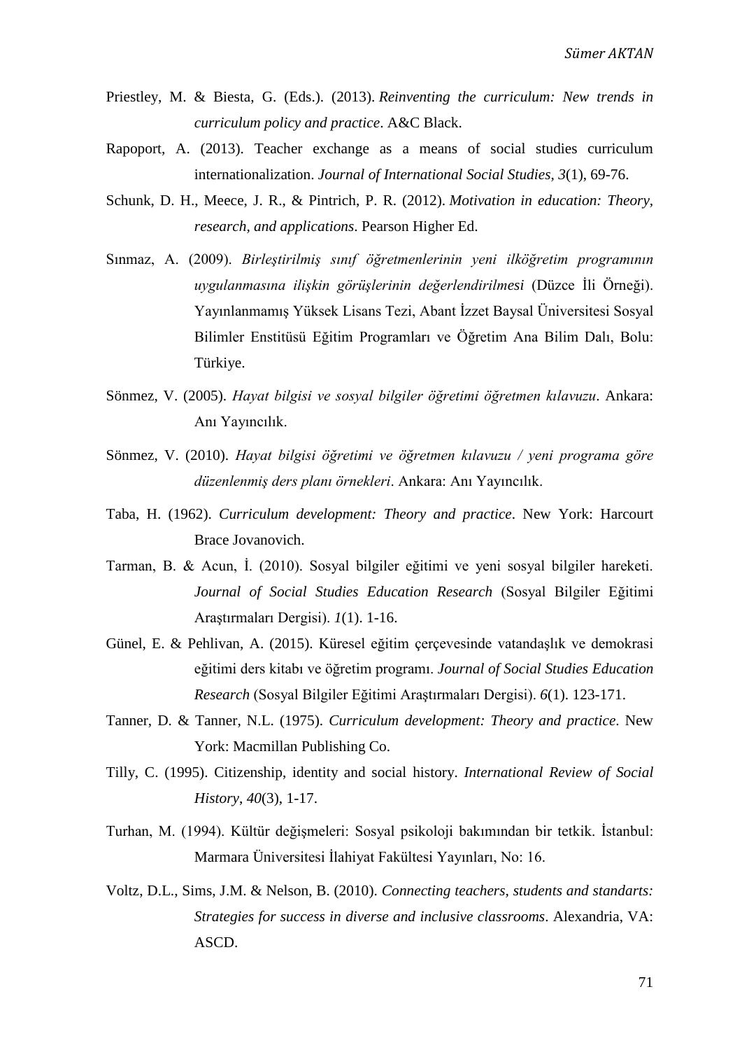- Priestley, M. & Biesta, G. (Eds.). (2013). *Reinventing the curriculum: New trends in curriculum policy and practice*. A&C Black.
- Rapoport, A. (2013). Teacher exchange as a means of social studies curriculum internationalization. *Journal of International Social Studies*, *3*(1), 69-76.
- Schunk, D. H., Meece, J. R., & Pintrich, P. R. (2012). *Motivation in education: Theory, research, and applications*. Pearson Higher Ed.
- Sınmaz, A. (2009). *Birleştirilmiş sınıf öğretmenlerinin yeni ilköğretim programının uygulanmasına ilişkin görüşlerinin değerlendirilmesi* (Düzce İli Örneği). Yayınlanmamış Yüksek Lisans Tezi, Abant İzzet Baysal Üniversitesi Sosyal Bilimler Enstitüsü Eğitim Programları ve Öğretim Ana Bilim Dalı, Bolu: Türkiye.
- Sönmez, V. (2005). *Hayat bilgisi ve sosyal bilgiler öğretimi öğretmen kılavuzu*. Ankara: Anı Yayıncılık.
- Sönmez, V. (2010). *Hayat bilgisi öğretimi ve öğretmen kılavuzu / yeni programa göre düzenlenmiş ders planı örnekleri*. Ankara: Anı Yayıncılık.
- Taba, H. (1962). *Curriculum development: Theory and practice*. New York: Harcourt Brace Jovanovich.
- Tarman, B. & Acun, İ. (2010). Sosyal bilgiler eğitimi ve yeni sosyal bilgiler hareketi. *Journal of Social Studies Education Research* (Sosyal Bilgiler Eğitimi Araştırmaları Dergisi). *1*(1). 1-16.
- Günel, E. & Pehlivan, A. (2015). Küresel eğitim çerçevesinde vatandaşlık ve demokrasi eğitimi ders kitabı ve öğretim programı. *Journal of Social Studies Education Research* (Sosyal Bilgiler Eğitimi Araştırmaları Dergisi). *6*(1). 123-171.
- Tanner, D. & Tanner, N.L. (1975). *Curriculum development: Theory and practice*. New York: Macmillan Publishing Co.
- Tilly, C. (1995). Citizenship, identity and social history. *International Review of Social History*, *40*(3), 1-17.
- Turhan, M. (1994). Kültür değişmeleri: Sosyal psikoloji bakımından bir tetkik. İstanbul: Marmara Üniversitesi İlahiyat Fakültesi Yayınları, No: 16.
- Voltz, D.L., Sims, J.M. & Nelson, B. (2010). *Connecting teachers, students and standarts: Strategies for success in diverse and inclusive classrooms*. Alexandria, VA: ASCD.